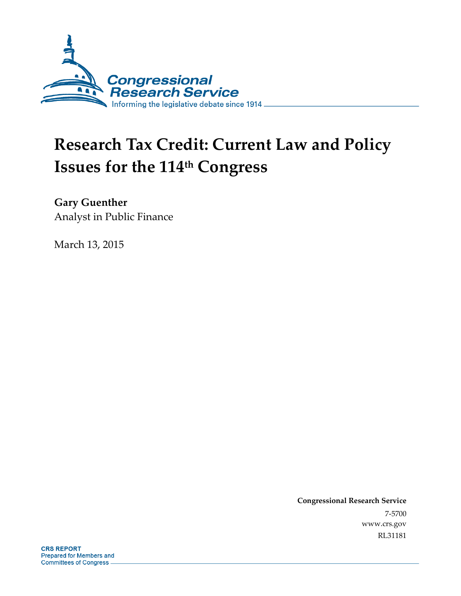

# **Research Tax Credit: Current Law and Policy Issues for the 114th Congress**

**Gary Guenther** 

Analyst in Public Finance

March 13, 2015

**Congressional Research Service**  7-5700 www.crs.gov RL31181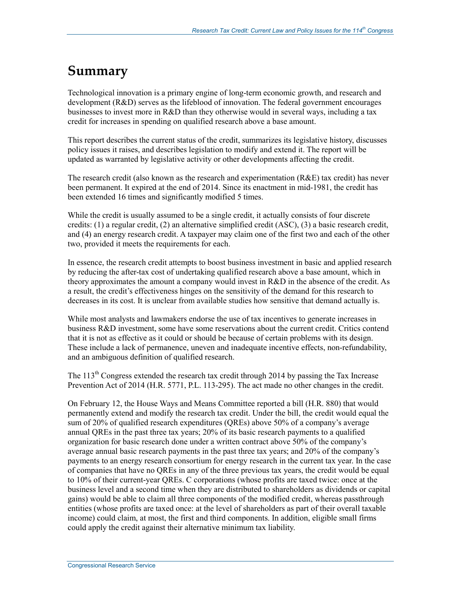## **Summary**

Technological innovation is a primary engine of long-term economic growth, and research and development (R&D) serves as the lifeblood of innovation. The federal government encourages businesses to invest more in R&D than they otherwise would in several ways, including a tax credit for increases in spending on qualified research above a base amount.

This report describes the current status of the credit, summarizes its legislative history, discusses policy issues it raises, and describes legislation to modify and extend it. The report will be updated as warranted by legislative activity or other developments affecting the credit.

The research credit (also known as the research and experimentation (R&E) tax credit) has never been permanent. It expired at the end of 2014. Since its enactment in mid-1981, the credit has been extended 16 times and significantly modified 5 times.

While the credit is usually assumed to be a single credit, it actually consists of four discrete credits: (1) a regular credit, (2) an alternative simplified credit (ASC), (3) a basic research credit, and (4) an energy research credit. A taxpayer may claim one of the first two and each of the other two, provided it meets the requirements for each.

In essence, the research credit attempts to boost business investment in basic and applied research by reducing the after-tax cost of undertaking qualified research above a base amount, which in theory approximates the amount a company would invest in R&D in the absence of the credit. As a result, the credit's effectiveness hinges on the sensitivity of the demand for this research to decreases in its cost. It is unclear from available studies how sensitive that demand actually is.

While most analysts and lawmakers endorse the use of tax incentives to generate increases in business R&D investment, some have some reservations about the current credit. Critics contend that it is not as effective as it could or should be because of certain problems with its design. These include a lack of permanence, uneven and inadequate incentive effects, non-refundability, and an ambiguous definition of qualified research.

The  $113<sup>th</sup>$  Congress extended the research tax credit through 2014 by passing the Tax Increase Prevention Act of 2014 (H.R. 5771, P.L. 113-295). The act made no other changes in the credit.

On February 12, the House Ways and Means Committee reported a bill (H.R. 880) that would permanently extend and modify the research tax credit. Under the bill, the credit would equal the sum of 20% of qualified research expenditures (QREs) above 50% of a company's average annual QREs in the past three tax years; 20% of its basic research payments to a qualified organization for basic research done under a written contract above 50% of the company's average annual basic research payments in the past three tax years; and 20% of the company's payments to an energy research consortium for energy research in the current tax year. In the case of companies that have no QREs in any of the three previous tax years, the credit would be equal to 10% of their current-year QREs. C corporations (whose profits are taxed twice: once at the business level and a second time when they are distributed to shareholders as dividends or capital gains) would be able to claim all three components of the modified credit, whereas passthrough entities (whose profits are taxed once: at the level of shareholders as part of their overall taxable income) could claim, at most, the first and third components. In addition, eligible small firms could apply the credit against their alternative minimum tax liability.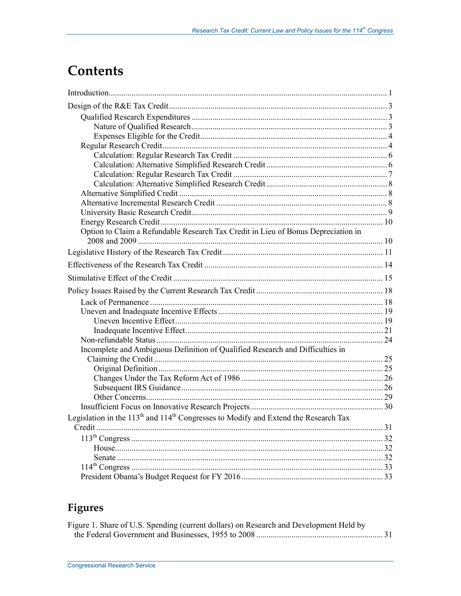# **Contents**

| Option to Claim a Refundable Research Tax Credit in Lieu of Bonus Depreciation in       |  |
|-----------------------------------------------------------------------------------------|--|
|                                                                                         |  |
|                                                                                         |  |
|                                                                                         |  |
|                                                                                         |  |
|                                                                                         |  |
|                                                                                         |  |
|                                                                                         |  |
|                                                                                         |  |
|                                                                                         |  |
|                                                                                         |  |
| Incomplete and Ambiguous Definition of Qualified Research and Difficulties in           |  |
|                                                                                         |  |
|                                                                                         |  |
|                                                                                         |  |
|                                                                                         |  |
|                                                                                         |  |
|                                                                                         |  |
| Legislation in the $113th$ and $114th$ Congresses to Modify and Extend the Research Tax |  |
|                                                                                         |  |
|                                                                                         |  |
|                                                                                         |  |
|                                                                                         |  |
|                                                                                         |  |
|                                                                                         |  |

## Figures

| Figure 1. Share of U.S. Spending (current dollars) on Research and Development Held by |  |
|----------------------------------------------------------------------------------------|--|
|                                                                                        |  |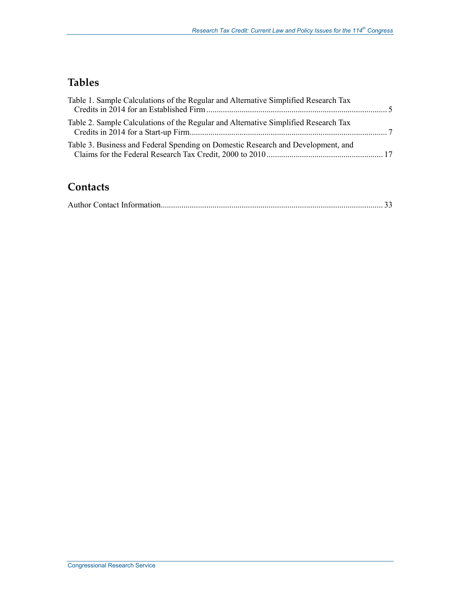## **Tables**

| Table 1. Sample Calculations of the Regular and Alternative Simplified Research Tax |  |
|-------------------------------------------------------------------------------------|--|
| Table 2. Sample Calculations of the Regular and Alternative Simplified Research Tax |  |
| Table 3. Business and Federal Spending on Domestic Research and Development, and    |  |

## **Contacts**

|--|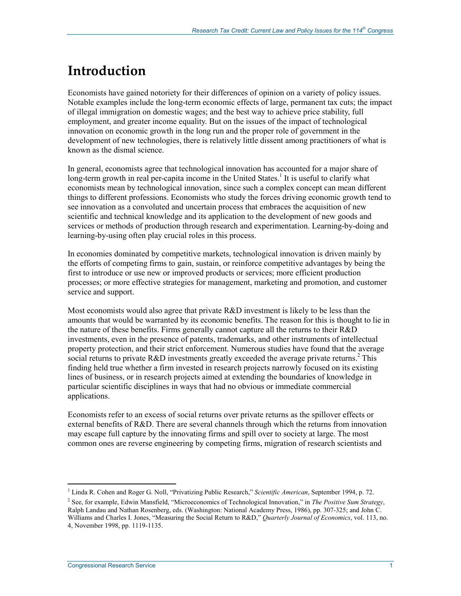# **Introduction**

Economists have gained notoriety for their differences of opinion on a variety of policy issues. Notable examples include the long-term economic effects of large, permanent tax cuts; the impact of illegal immigration on domestic wages; and the best way to achieve price stability, full employment, and greater income equality. But on the issues of the impact of technological innovation on economic growth in the long run and the proper role of government in the development of new technologies, there is relatively little dissent among practitioners of what is known as the dismal science.

In general, economists agree that technological innovation has accounted for a major share of long-term growth in real per-capita income in the United States.<sup>1</sup> It is useful to clarify what economists mean by technological innovation, since such a complex concept can mean different things to different professions. Economists who study the forces driving economic growth tend to see innovation as a convoluted and uncertain process that embraces the acquisition of new scientific and technical knowledge and its application to the development of new goods and services or methods of production through research and experimentation. Learning-by-doing and learning-by-using often play crucial roles in this process.

In economies dominated by competitive markets, technological innovation is driven mainly by the efforts of competing firms to gain, sustain, or reinforce competitive advantages by being the first to introduce or use new or improved products or services; more efficient production processes; or more effective strategies for management, marketing and promotion, and customer service and support.

Most economists would also agree that private R&D investment is likely to be less than the amounts that would be warranted by its economic benefits. The reason for this is thought to lie in the nature of these benefits. Firms generally cannot capture all the returns to their R&D investments, even in the presence of patents, trademarks, and other instruments of intellectual property protection, and their strict enforcement. Numerous studies have found that the average social returns to private R&D investments greatly exceeded the average private returns.<sup>2</sup> This finding held true whether a firm invested in research projects narrowly focused on its existing lines of business, or in research projects aimed at extending the boundaries of knowledge in particular scientific disciplines in ways that had no obvious or immediate commercial applications.

Economists refer to an excess of social returns over private returns as the spillover effects or external benefits of R&D. There are several channels through which the returns from innovation may escape full capture by the innovating firms and spill over to society at large. The most common ones are reverse engineering by competing firms, migration of research scientists and

<sup>&</sup>lt;sup>1</sup> Linda R. Cohen and Roger G. Noll, "Privatizing Public Research," *Scientific American*, September 1994, p. 72.

<sup>2</sup> See, for example, Edwin Mansfield, "Microeconomics of Technological Innovation," in *The Positive Sum Strategy*, Ralph Landau and Nathan Rosenberg, eds. (Washington: National Academy Press, 1986), pp. 307-325; and John C. Williams and Charles I. Jones, "Measuring the Social Return to R&D," *Quarterly Journal of Economics*, vol. 113, no. 4, November 1998, pp. 1119-1135.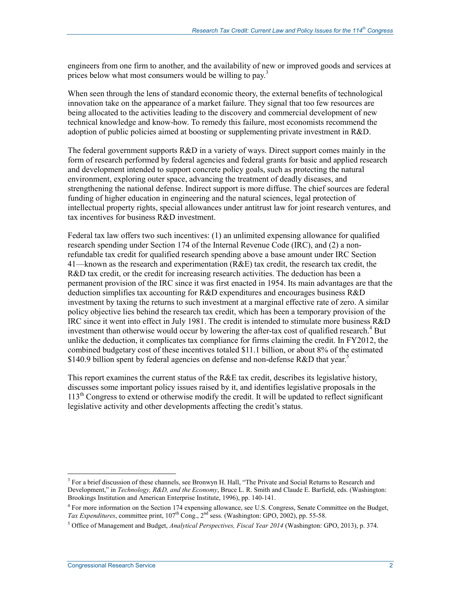engineers from one firm to another, and the availability of new or improved goods and services at prices below what most consumers would be willing to pay.<sup>3</sup>

When seen through the lens of standard economic theory, the external benefits of technological innovation take on the appearance of a market failure. They signal that too few resources are being allocated to the activities leading to the discovery and commercial development of new technical knowledge and know-how. To remedy this failure, most economists recommend the adoption of public policies aimed at boosting or supplementing private investment in R&D.

The federal government supports R&D in a variety of ways. Direct support comes mainly in the form of research performed by federal agencies and federal grants for basic and applied research and development intended to support concrete policy goals, such as protecting the natural environment, exploring outer space, advancing the treatment of deadly diseases, and strengthening the national defense. Indirect support is more diffuse. The chief sources are federal funding of higher education in engineering and the natural sciences, legal protection of intellectual property rights, special allowances under antitrust law for joint research ventures, and tax incentives for business  $R\&D$  investment.

Federal tax law offers two such incentives: (1) an unlimited expensing allowance for qualified research spending under Section 174 of the Internal Revenue Code (IRC), and (2) a nonrefundable tax credit for qualified research spending above a base amount under IRC Section 41—known as the research and experimentation (R&E) tax credit, the research tax credit, the R&D tax credit, or the credit for increasing research activities. The deduction has been a permanent provision of the IRC since it was first enacted in 1954. Its main advantages are that the deduction simplifies tax accounting for R&D expenditures and encourages business R&D investment by taxing the returns to such investment at a marginal effective rate of zero. A similar policy objective lies behind the research tax credit, which has been a temporary provision of the IRC since it went into effect in July 1981. The credit is intended to stimulate more business R&D investment than otherwise would occur by lowering the after-tax cost of qualified research.<sup>4</sup> But unlike the deduction, it complicates tax compliance for firms claiming the credit. In FY2012, the combined budgetary cost of these incentives totaled \$11.1 billion, or about 8% of the estimated \$140.9 billion spent by federal agencies on defense and non-defense R&D that year.<sup>5</sup>

This report examines the current status of the  $R\&E$  tax credit, describes its legislative history, discusses some important policy issues raised by it, and identifies legislative proposals in the  $113<sup>th</sup>$  Congress to extend or otherwise modify the credit. It will be updated to reflect significant legislative activity and other developments affecting the credit's status.

<sup>&</sup>lt;sup>3</sup> For a brief discussion of these channels, see Bronwyn H. Hall, "The Private and Social Returns to Research and Development," in *Technology, R&D, and the Economy*, Bruce L. R. Smith and Claude E. Barfield, eds. (Washington: Brookings Institution and American Enterprise Institute, 1996), pp. 140-141.

<sup>&</sup>lt;sup>4</sup> For more information on the Section 174 expensing allowance, see U.S. Congress, Senate Committee on the Budget, *Tax Expenditures*, committee print, 107<sup>th</sup> Cong., 2<sup>nd</sup> sess. (Washington: GPO, 2002), pp. 55-58.

<sup>5</sup> Office of Management and Budget, *Analytical Perspectives, Fiscal Year 2014* (Washington: GPO, 2013), p. 374.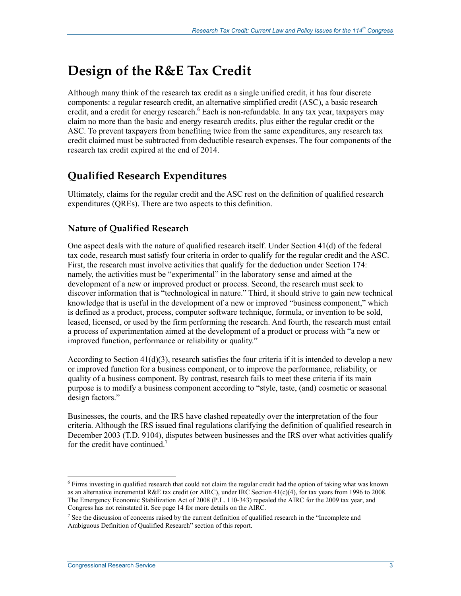# **Design of the R&E Tax Credit**

Although many think of the research tax credit as a single unified credit, it has four discrete components: a regular research credit, an alternative simplified credit (ASC), a basic research credit, and a credit for energy research.<sup>6</sup> Each is non-refundable. In any tax year, taxpayers may claim no more than the basic and energy research credits, plus either the regular credit or the ASC. To prevent taxpayers from benefiting twice from the same expenditures, any research tax credit claimed must be subtracted from deductible research expenses. The four components of the research tax credit expired at the end of 2014.

## **Qualified Research Expenditures**

Ultimately, claims for the regular credit and the ASC rest on the definition of qualified research expenditures (QREs). There are two aspects to this definition.

### **Nature of Qualified Research**

One aspect deals with the nature of qualified research itself. Under Section 41(d) of the federal tax code, research must satisfy four criteria in order to qualify for the regular credit and the ASC. First, the research must involve activities that qualify for the deduction under Section 174: namely, the activities must be "experimental" in the laboratory sense and aimed at the development of a new or improved product or process. Second, the research must seek to discover information that is "technological in nature." Third, it should strive to gain new technical knowledge that is useful in the development of a new or improved "business component," which is defined as a product, process, computer software technique, formula, or invention to be sold, leased, licensed, or used by the firm performing the research. And fourth, the research must entail a process of experimentation aimed at the development of a product or process with "a new or improved function, performance or reliability or quality."

According to Section  $41(d)(3)$ , research satisfies the four criteria if it is intended to develop a new or improved function for a business component, or to improve the performance, reliability, or quality of a business component. By contrast, research fails to meet these criteria if its main purpose is to modify a business component according to "style, taste, (and) cosmetic or seasonal design factors."

Businesses, the courts, and the IRS have clashed repeatedly over the interpretation of the four criteria. Although the IRS issued final regulations clarifying the definition of qualified research in December 2003 (T.D. 9104), disputes between businesses and the IRS over what activities qualify for the credit have continued.<sup>7</sup>

<sup>6</sup> Firms investing in qualified research that could not claim the regular credit had the option of taking what was known as an alternative incremental R&E tax credit (or AIRC), under IRC Section 41(c)(4), for tax years from 1996 to 2008. The Emergency Economic Stabilization Act of 2008 (P.L. 110-343) repealed the AIRC for the 2009 tax year, and Congress has not reinstated it. See page 14 for more details on the AIRC.

 $<sup>7</sup>$  See the discussion of concerns raised by the current definition of qualified research in the "Incomplete and</sup> Ambiguous Definition of Qualified Research" section of this report.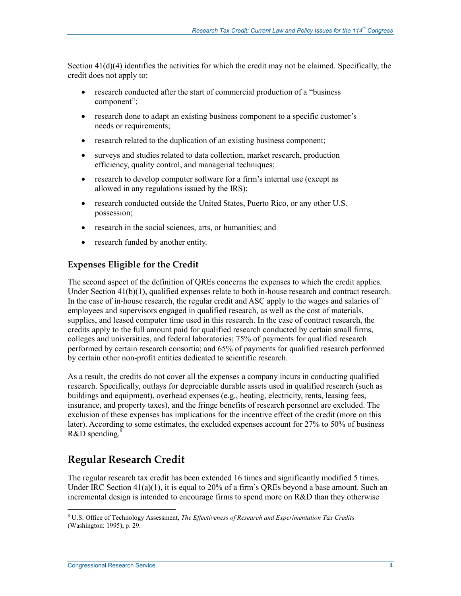Section 41(d)(4) identifies the activities for which the credit may not be claimed. Specifically, the credit does not apply to:

- research conducted after the start of commercial production of a "business" component";
- research done to adapt an existing business component to a specific customer's needs or requirements;
- research related to the duplication of an existing business component;
- surveys and studies related to data collection, market research, production efficiency, quality control, and managerial techniques;
- research to develop computer software for a firm's internal use (except as allowed in any regulations issued by the IRS);
- research conducted outside the United States, Puerto Rico, or any other U.S. possession;
- research in the social sciences, arts, or humanities; and
- research funded by another entity.

### **Expenses Eligible for the Credit**

The second aspect of the definition of QREs concerns the expenses to which the credit applies. Under Section 41(b)(1), qualified expenses relate to both in-house research and contract research. In the case of in-house research, the regular credit and ASC apply to the wages and salaries of employees and supervisors engaged in qualified research, as well as the cost of materials, supplies, and leased computer time used in this research. In the case of contract research, the credits apply to the full amount paid for qualified research conducted by certain small firms, colleges and universities, and federal laboratories; 75% of payments for qualified research performed by certain research consortia; and 65% of payments for qualified research performed by certain other non-profit entities dedicated to scientific research.

As a result, the credits do not cover all the expenses a company incurs in conducting qualified research. Specifically, outlays for depreciable durable assets used in qualified research (such as buildings and equipment), overhead expenses (e.g., heating, electricity, rents, leasing fees, insurance, and property taxes), and the fringe benefits of research personnel are excluded. The exclusion of these expenses has implications for the incentive effect of the credit (more on this later). According to some estimates, the excluded expenses account for 27% to 50% of business  $R&D$  spending.<sup>8</sup>

## **Regular Research Credit**

The regular research tax credit has been extended 16 times and significantly modified 5 times. Under IRC Section  $41(a)(1)$ , it is equal to 20% of a firm's QREs beyond a base amount. Such an incremental design is intended to encourage firms to spend more on R&D than they otherwise

 8 U.S. Office of Technology Assessment, *The Effectiveness of Research and Experimentation Tax Credits* (Washington: 1995), p. 29.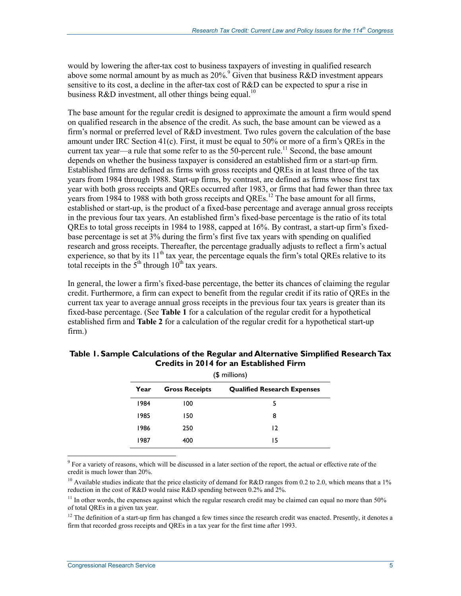would by lowering the after-tax cost to business taxpayers of investing in qualified research above some normal amount by as much as  $20\%$ . Given that business  $R&D$  investment appears sensitive to its cost, a decline in the after-tax cost of R&D can be expected to spur a rise in business R&D investment, all other things being equal.<sup>10</sup>

The base amount for the regular credit is designed to approximate the amount a firm would spend on qualified research in the absence of the credit. As such, the base amount can be viewed as a firm's normal or preferred level of R&D investment. Two rules govern the calculation of the base amount under IRC Section 41(c). First, it must be equal to 50% or more of a firm's QREs in the current tax year—a rule that some refer to as the  $50$ -percent rule.<sup>11</sup> Second, the base amount depends on whether the business taxpayer is considered an established firm or a start-up firm. Established firms are defined as firms with gross receipts and QREs in at least three of the tax years from 1984 through 1988. Start-up firms, by contrast, are defined as firms whose first tax year with both gross receipts and QREs occurred after 1983, or firms that had fewer than three tax years from 1984 to 1988 with both gross receipts and QREs.<sup>12</sup> The base amount for all firms, established or start-up, is the product of a fixed-base percentage and average annual gross receipts in the previous four tax years. An established firm's fixed-base percentage is the ratio of its total QREs to total gross receipts in 1984 to 1988, capped at 16%. By contrast, a start-up firm's fixedbase percentage is set at 3% during the firm's first five tax years with spending on qualified research and gross receipts. Thereafter, the percentage gradually adjusts to reflect a firm's actual experience, so that by its  $11<sup>th</sup>$  tax year, the percentage equals the firm's total QREs relative to its total receipts in the  $5<sup>th</sup>$  through  $10<sup>th</sup>$  tax years.

In general, the lower a firm's fixed-base percentage, the better its chances of claiming the regular credit. Furthermore, a firm can expect to benefit from the regular credit if its ratio of QREs in the current tax year to average annual gross receipts in the previous four tax years is greater than its fixed-base percentage. (See **Table 1** for a calculation of the regular credit for a hypothetical established firm and **Table 2** for a calculation of the regular credit for a hypothetical start-up firm.)

|      | (\$ millions)         |                                    |  |  |  |  |  |  |  |
|------|-----------------------|------------------------------------|--|--|--|--|--|--|--|
| Year | <b>Gross Receipts</b> | <b>Qualified Research Expenses</b> |  |  |  |  |  |  |  |
| 1984 | 100                   | 5                                  |  |  |  |  |  |  |  |
| 1985 | 150                   | 8                                  |  |  |  |  |  |  |  |
| 1986 | 250                   | 12                                 |  |  |  |  |  |  |  |
| 1987 | 400                   | 15                                 |  |  |  |  |  |  |  |

### **Table 1. Sample Calculations of the Regular and Alternative Simplified Research Tax Credits in 2014 for an Established Firm**

The sum variety of reasons, which will be discussed in a later section of the report, the actual or effective rate of the  $\frac{9}{100}$ credit is much lower than 20%.

<sup>10</sup> Available studies indicate that the price elasticity of demand for R&D ranges from 0.2 to 2.0, which means that a 1% reduction in the cost of R&D would raise R&D spending between 0.2% and 2%.

 $11$  In other words, the expenses against which the regular research credit may be claimed can equal no more than 50% of total QREs in a given tax year.

 $12$  The definition of a start-up firm has changed a few times since the research credit was enacted. Presently, it denotes a firm that recorded gross receipts and QREs in a tax year for the first time after 1993.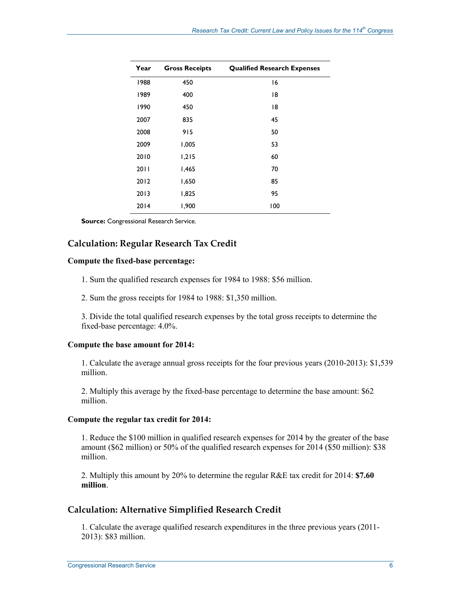| Year | <b>Gross Receipts</b> | <b>Qualified Research Expenses</b> |
|------|-----------------------|------------------------------------|
| 1988 | 450                   | 16                                 |
| 1989 | 400                   | 18                                 |
| 1990 | 450                   | 18                                 |
| 2007 | 835                   | 45                                 |
| 2008 | 915                   | 50                                 |
| 2009 | 1,005                 | 53                                 |
| 2010 | 1,215                 | 60                                 |
| 2011 | 1,465                 | 70                                 |
| 2012 | 1,650                 | 85                                 |
| 2013 | 1,825                 | 95                                 |
| 2014 | 1,900                 | 100                                |

**Source:** Congressional Research Service.

### **Calculation: Regular Research Tax Credit**

### **Compute the fixed-base percentage:**

1. Sum the qualified research expenses for 1984 to 1988: \$56 million.

2. Sum the gross receipts for 1984 to 1988: \$1,350 million.

3. Divide the total qualified research expenses by the total gross receipts to determine the fixed-base percentage: 4.0%.

#### **Compute the base amount for 2014:**

1. Calculate the average annual gross receipts for the four previous years (2010-2013): \$1,539 million.

2. Multiply this average by the fixed-base percentage to determine the base amount: \$62 million.

#### **Compute the regular tax credit for 2014:**

1. Reduce the \$100 million in qualified research expenses for 2014 by the greater of the base amount (\$62 million) or 50% of the qualified research expenses for 2014 (\$50 million): \$38 million.

2. Multiply this amount by 20% to determine the regular R&E tax credit for 2014: **\$7.60 million**.

### **Calculation: Alternative Simplified Research Credit**

1. Calculate the average qualified research expenditures in the three previous years (2011- 2013): \$83 million.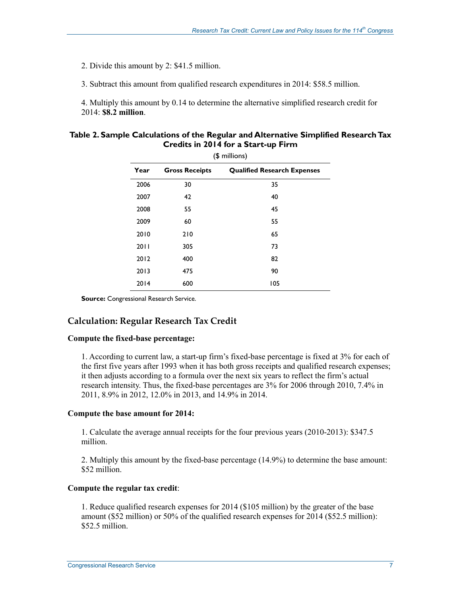2. Divide this amount by 2: \$41.5 million.

3. Subtract this amount from qualified research expenditures in 2014: \$58.5 million.

4. Multiply this amount by 0.14 to determine the alternative simplified research credit for 2014: **\$8.2 million**.

| Table 2. Sample Calculations of the Regular and Alternative Simplified Research Tax |
|-------------------------------------------------------------------------------------|
| Credits in 2014 for a Start-up Firm                                                 |

| Year | <b>Gross Receipts</b> | <b>Qualified Research Expenses</b> |
|------|-----------------------|------------------------------------|
| 2006 | 30                    | 35                                 |
| 2007 | 42                    | 40                                 |
| 2008 | 55                    | 45                                 |
| 2009 | 60                    | 55                                 |
| 2010 | 210                   | 65                                 |
| 2011 | 305                   | 73                                 |
| 2012 | 400                   | 82                                 |
| 2013 | 475                   | 90                                 |
| 2014 | 600                   | 105                                |

**Source:** Congressional Research Service.

### **Calculation: Regular Research Tax Credit**

### **Compute the fixed-base percentage:**

1. According to current law, a start-up firm's fixed-base percentage is fixed at 3% for each of the first five years after 1993 when it has both gross receipts and qualified research expenses; it then adjusts according to a formula over the next six years to reflect the firm's actual research intensity. Thus, the fixed-base percentages are 3% for 2006 through 2010, 7.4% in 2011, 8.9% in 2012, 12.0% in 2013, and 14.9% in 2014.

### **Compute the base amount for 2014:**

1. Calculate the average annual receipts for the four previous years (2010-2013): \$347.5 million.

2. Multiply this amount by the fixed-base percentage (14.9%) to determine the base amount: \$52 million.

### **Compute the regular tax credit**:

1. Reduce qualified research expenses for 2014 (\$105 million) by the greater of the base amount (\$52 million) or 50% of the qualified research expenses for 2014 (\$52.5 million): \$52.5 million.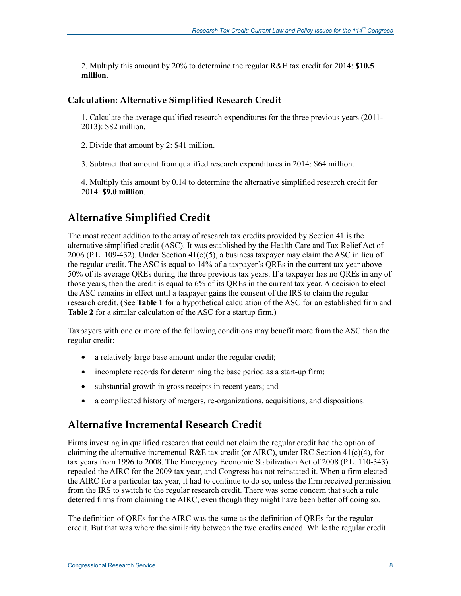2. Multiply this amount by 20% to determine the regular R&E tax credit for 2014: **\$10.5 million**.

### **Calculation: Alternative Simplified Research Credit**

1. Calculate the average qualified research expenditures for the three previous years (2011- 2013): \$82 million.

2. Divide that amount by 2: \$41 million.

3. Subtract that amount from qualified research expenditures in 2014: \$64 million.

4. Multiply this amount by 0.14 to determine the alternative simplified research credit for 2014: **\$9.0 million**.

## **Alternative Simplified Credit**

The most recent addition to the array of research tax credits provided by Section 41 is the alternative simplified credit (ASC). It was established by the Health Care and Tax Relief Act of 2006 (P.L. 109-432). Under Section  $41(c)(5)$ , a business taxpayer may claim the ASC in lieu of the regular credit. The ASC is equal to 14% of a taxpayer's QREs in the current tax year above 50% of its average QREs during the three previous tax years. If a taxpayer has no QREs in any of those years, then the credit is equal to 6% of its QREs in the current tax year. A decision to elect the ASC remains in effect until a taxpayer gains the consent of the IRS to claim the regular research credit. (See **Table 1** for a hypothetical calculation of the ASC for an established firm and **Table 2** for a similar calculation of the ASC for a startup firm.)

Taxpayers with one or more of the following conditions may benefit more from the ASC than the regular credit:

- a relatively large base amount under the regular credit;
- incomplete records for determining the base period as a start-up firm;
- substantial growth in gross receipts in recent years; and
- a complicated history of mergers, re-organizations, acquisitions, and dispositions.

## **Alternative Incremental Research Credit**

Firms investing in qualified research that could not claim the regular credit had the option of claiming the alternative incremental R&E tax credit (or AIRC), under IRC Section 41(c)(4), for tax years from 1996 to 2008. The Emergency Economic Stabilization Act of 2008 (P.L. 110-343) repealed the AIRC for the 2009 tax year, and Congress has not reinstated it. When a firm elected the AIRC for a particular tax year, it had to continue to do so, unless the firm received permission from the IRS to switch to the regular research credit. There was some concern that such a rule deterred firms from claiming the AIRC, even though they might have been better off doing so.

The definition of QREs for the AIRC was the same as the definition of QREs for the regular credit. But that was where the similarity between the two credits ended. While the regular credit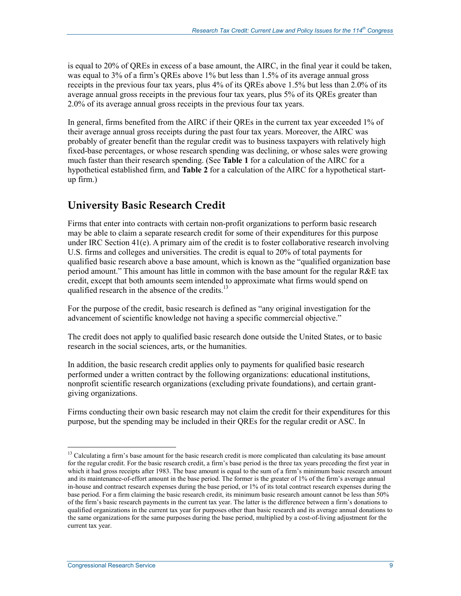is equal to 20% of QREs in excess of a base amount, the AIRC, in the final year it could be taken, was equal to 3% of a firm's QREs above 1% but less than 1.5% of its average annual gross receipts in the previous four tax years, plus 4% of its QREs above 1.5% but less than 2.0% of its average annual gross receipts in the previous four tax years, plus 5% of its QREs greater than 2.0% of its average annual gross receipts in the previous four tax years.

In general, firms benefited from the AIRC if their QREs in the current tax year exceeded 1% of their average annual gross receipts during the past four tax years. Moreover, the AIRC was probably of greater benefit than the regular credit was to business taxpayers with relatively high fixed-base percentages, or whose research spending was declining, or whose sales were growing much faster than their research spending. (See **Table 1** for a calculation of the AIRC for a hypothetical established firm, and **Table 2** for a calculation of the AIRC for a hypothetical startup firm.)

## **University Basic Research Credit**

Firms that enter into contracts with certain non-profit organizations to perform basic research may be able to claim a separate research credit for some of their expenditures for this purpose under IRC Section  $41(e)$ . A primary aim of the credit is to foster collaborative research involving U.S. firms and colleges and universities. The credit is equal to 20% of total payments for qualified basic research above a base amount, which is known as the "qualified organization base period amount." This amount has little in common with the base amount for the regular R&E tax credit, except that both amounts seem intended to approximate what firms would spend on qualified research in the absence of the credits.<sup>13</sup>

For the purpose of the credit, basic research is defined as "any original investigation for the advancement of scientific knowledge not having a specific commercial objective."

The credit does not apply to qualified basic research done outside the United States, or to basic research in the social sciences, arts, or the humanities.

In addition, the basic research credit applies only to payments for qualified basic research performed under a written contract by the following organizations: educational institutions, nonprofit scientific research organizations (excluding private foundations), and certain grantgiving organizations.

Firms conducting their own basic research may not claim the credit for their expenditures for this purpose, but the spending may be included in their QREs for the regular credit or ASC. In

<sup>&</sup>lt;sup>13</sup> Calculating a firm's base amount for the basic research credit is more complicated than calculating its base amount for the regular credit. For the basic research credit, a firm's base period is the three tax years preceding the first year in which it had gross receipts after 1983. The base amount is equal to the sum of a firm's minimum basic research amount and its maintenance-of-effort amount in the base period. The former is the greater of 1% of the firm's average annual in-house and contract research expenses during the base period, or 1% of its total contract research expenses during the base period. For a firm claiming the basic research credit, its minimum basic research amount cannot be less than 50% of the firm's basic research payments in the current tax year. The latter is the difference between a firm's donations to qualified organizations in the current tax year for purposes other than basic research and its average annual donations to the same organizations for the same purposes during the base period, multiplied by a cost-of-living adjustment for the current tax year.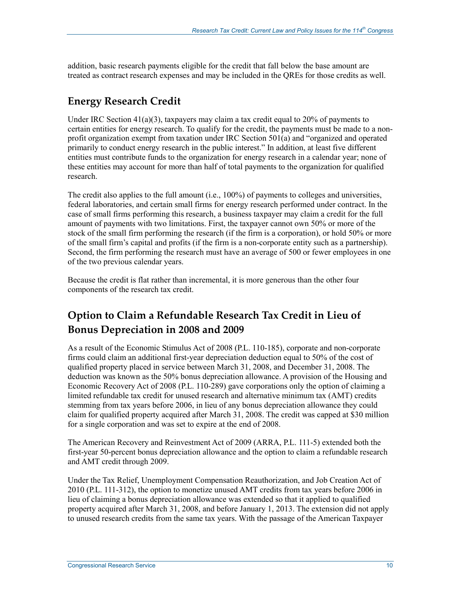addition, basic research payments eligible for the credit that fall below the base amount are treated as contract research expenses and may be included in the QREs for those credits as well.

## **Energy Research Credit**

Under IRC Section  $41(a)(3)$ , taxpayers may claim a tax credit equal to 20% of payments to certain entities for energy research. To qualify for the credit, the payments must be made to a nonprofit organization exempt from taxation under IRC Section 501(a) and "organized and operated primarily to conduct energy research in the public interest." In addition, at least five different entities must contribute funds to the organization for energy research in a calendar year; none of these entities may account for more than half of total payments to the organization for qualified research.

The credit also applies to the full amount (i.e., 100%) of payments to colleges and universities, federal laboratories, and certain small firms for energy research performed under contract. In the case of small firms performing this research, a business taxpayer may claim a credit for the full amount of payments with two limitations. First, the taxpayer cannot own 50% or more of the stock of the small firm performing the research (if the firm is a corporation), or hold 50% or more of the small firm's capital and profits (if the firm is a non-corporate entity such as a partnership). Second, the firm performing the research must have an average of 500 or fewer employees in one of the two previous calendar years.

Because the credit is flat rather than incremental, it is more generous than the other four components of the research tax credit.

## **Option to Claim a Refundable Research Tax Credit in Lieu of Bonus Depreciation in 2008 and 2009**

As a result of the Economic Stimulus Act of 2008 (P.L. 110-185), corporate and non-corporate firms could claim an additional first-year depreciation deduction equal to 50% of the cost of qualified property placed in service between March 31, 2008, and December 31, 2008. The deduction was known as the 50% bonus depreciation allowance. A provision of the Housing and Economic Recovery Act of 2008 (P.L. 110-289) gave corporations only the option of claiming a limited refundable tax credit for unused research and alternative minimum tax (AMT) credits stemming from tax years before 2006, in lieu of any bonus depreciation allowance they could claim for qualified property acquired after March 31, 2008. The credit was capped at \$30 million for a single corporation and was set to expire at the end of 2008.

The American Recovery and Reinvestment Act of 2009 (ARRA, P.L. 111-5) extended both the first-year 50-percent bonus depreciation allowance and the option to claim a refundable research and AMT credit through 2009.

Under the Tax Relief, Unemployment Compensation Reauthorization, and Job Creation Act of 2010 (P.L. 111-312), the option to monetize unused AMT credits from tax years before 2006 in lieu of claiming a bonus depreciation allowance was extended so that it applied to qualified property acquired after March 31, 2008, and before January 1, 2013. The extension did not apply to unused research credits from the same tax years. With the passage of the American Taxpayer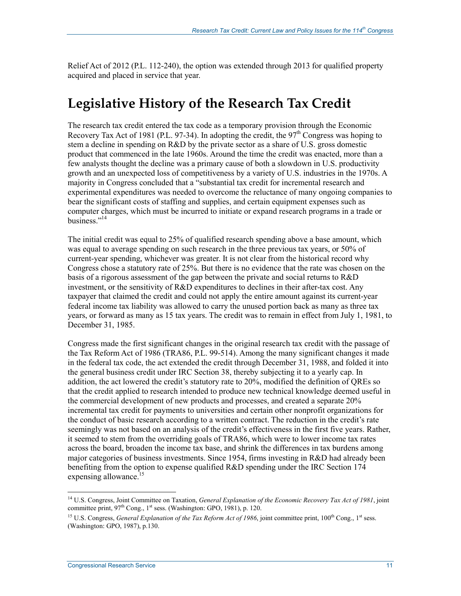Relief Act of 2012 (P.L. 112-240), the option was extended through 2013 for qualified property acquired and placed in service that year.

# **Legislative History of the Research Tax Credit**

The research tax credit entered the tax code as a temporary provision through the Economic Recovery Tax Act of 1981 (P.L. 97-34). In adopting the credit, the  $97<sup>th</sup>$  Congress was hoping to stem a decline in spending on R&D by the private sector as a share of U.S. gross domestic product that commenced in the late 1960s. Around the time the credit was enacted, more than a few analysts thought the decline was a primary cause of both a slowdown in U.S. productivity growth and an unexpected loss of competitiveness by a variety of U.S. industries in the 1970s. A majority in Congress concluded that a "substantial tax credit for incremental research and experimental expenditures was needed to overcome the reluctance of many ongoing companies to bear the significant costs of staffing and supplies, and certain equipment expenses such as computer charges, which must be incurred to initiate or expand research programs in a trade or business."<sup>14</sup>

The initial credit was equal to 25% of qualified research spending above a base amount, which was equal to average spending on such research in the three previous tax years, or 50% of current-year spending, whichever was greater. It is not clear from the historical record why Congress chose a statutory rate of 25%. But there is no evidence that the rate was chosen on the basis of a rigorous assessment of the gap between the private and social returns to R&D investment, or the sensitivity of R&D expenditures to declines in their after-tax cost. Any taxpayer that claimed the credit and could not apply the entire amount against its current-year federal income tax liability was allowed to carry the unused portion back as many as three tax years, or forward as many as 15 tax years. The credit was to remain in effect from July 1, 1981, to December 31, 1985.

Congress made the first significant changes in the original research tax credit with the passage of the Tax Reform Act of 1986 (TRA86, P.L. 99-514). Among the many significant changes it made in the federal tax code, the act extended the credit through December 31, 1988, and folded it into the general business credit under IRC Section 38, thereby subjecting it to a yearly cap. In addition, the act lowered the credit's statutory rate to 20%, modified the definition of QREs so that the credit applied to research intended to produce new technical knowledge deemed useful in the commercial development of new products and processes, and created a separate 20% incremental tax credit for payments to universities and certain other nonprofit organizations for the conduct of basic research according to a written contract. The reduction in the credit's rate seemingly was not based on an analysis of the credit's effectiveness in the first five years. Rather, it seemed to stem from the overriding goals of TRA86, which were to lower income tax rates across the board, broaden the income tax base, and shrink the differences in tax burdens among major categories of business investments. Since 1954, firms investing in R&D had already been benefiting from the option to expense qualified R&D spending under the IRC Section 174 expensing allowance.<sup>15</sup>

<sup>14</sup> U.S. Congress, Joint Committee on Taxation, *General Explanation of the Economic Recovery Tax Act of 1981*, joint committee print,  $97<sup>th</sup>$  Cong.,  $1<sup>st</sup>$  sess. (Washington: GPO, 1981), p. 120.

<sup>&</sup>lt;sup>15</sup> U.S. Congress, *General Explanation of the Tax Reform Act of 1986*, joint committee print, 100<sup>th</sup> Cong., 1<sup>st</sup> sess. (Washington: GPO, 1987), p.130.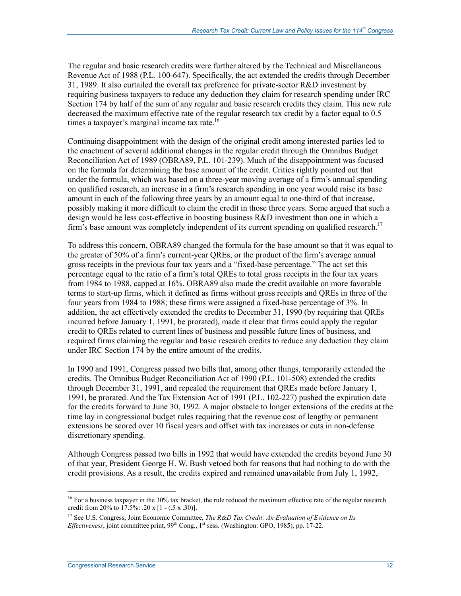The regular and basic research credits were further altered by the Technical and Miscellaneous Revenue Act of 1988 (P.L. 100-647). Specifically, the act extended the credits through December 31, 1989. It also curtailed the overall tax preference for private-sector R&D investment by requiring business taxpayers to reduce any deduction they claim for research spending under IRC Section 174 by half of the sum of any regular and basic research credits they claim. This new rule decreased the maximum effective rate of the regular research tax credit by a factor equal to 0.5 times a taxpayer's marginal income tax rate. $16$ 

Continuing disappointment with the design of the original credit among interested parties led to the enactment of several additional changes in the regular credit through the Omnibus Budget Reconciliation Act of 1989 (OBRA89, P.L. 101-239). Much of the disappointment was focused on the formula for determining the base amount of the credit. Critics rightly pointed out that under the formula, which was based on a three-year moving average of a firm's annual spending on qualified research, an increase in a firm's research spending in one year would raise its base amount in each of the following three years by an amount equal to one-third of that increase, possibly making it more difficult to claim the credit in those three years. Some argued that such a design would be less cost-effective in boosting business R&D investment than one in which a firm's base amount was completely independent of its current spending on qualified research.<sup>17</sup>

To address this concern, OBRA89 changed the formula for the base amount so that it was equal to the greater of 50% of a firm's current-year QREs, or the product of the firm's average annual gross receipts in the previous four tax years and a "fixed-base percentage." The act set this percentage equal to the ratio of a firm's total QREs to total gross receipts in the four tax years from 1984 to 1988, capped at 16%. OBRA89 also made the credit available on more favorable terms to start-up firms, which it defined as firms without gross receipts and QREs in three of the four years from 1984 to 1988; these firms were assigned a fixed-base percentage of 3%. In addition, the act effectively extended the credits to December 31, 1990 (by requiring that QREs incurred before January 1, 1991, be prorated), made it clear that firms could apply the regular credit to QREs related to current lines of business and possible future lines of business, and required firms claiming the regular and basic research credits to reduce any deduction they claim under IRC Section 174 by the entire amount of the credits.

In 1990 and 1991, Congress passed two bills that, among other things, temporarily extended the credits. The Omnibus Budget Reconciliation Act of 1990 (P.L. 101-508) extended the credits through December 31, 1991, and repealed the requirement that QREs made before January 1, 1991, be prorated. And the Tax Extension Act of 1991 (P.L. 102-227) pushed the expiration date for the credits forward to June 30, 1992. A major obstacle to longer extensions of the credits at the time lay in congressional budget rules requiring that the revenue cost of lengthy or permanent extensions be scored over 10 fiscal years and offset with tax increases or cuts in non-defense discretionary spending.

Although Congress passed two bills in 1992 that would have extended the credits beyond June 30 of that year, President George H. W. Bush vetoed both for reasons that had nothing to do with the credit provisions. As a result, the credits expired and remained unavailable from July 1, 1992,

 $16$  For a business taxpayer in the 30% tax bracket, the rule reduced the maximum effective rate of the regular research credit from 20% to 17.5%: .20 x [1 - (.5 x .30)].

<sup>&</sup>lt;sup>17</sup> See U.S. Congress, Joint Economic Committee, *The R&D Tax Credit: An Evaluation of Evidence on Its Effectiveness*, joint committee print, 99<sup>th</sup> Cong., 1<sup>st</sup> sess. (Washington: GPO, 1985), pp. 17-22.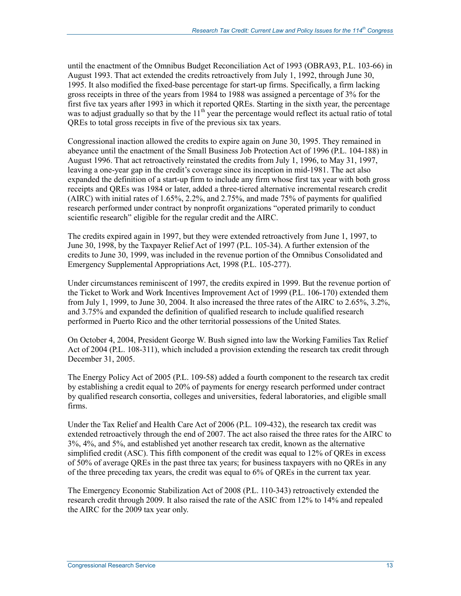until the enactment of the Omnibus Budget Reconciliation Act of 1993 (OBRA93, P.L. 103-66) in August 1993. That act extended the credits retroactively from July 1, 1992, through June 30, 1995. It also modified the fixed-base percentage for start-up firms. Specifically, a firm lacking gross receipts in three of the years from 1984 to 1988 was assigned a percentage of 3% for the first five tax years after 1993 in which it reported QREs. Starting in the sixth year, the percentage was to adjust gradually so that by the 11<sup>th</sup> year the percentage would reflect its actual ratio of total QREs to total gross receipts in five of the previous six tax years.

Congressional inaction allowed the credits to expire again on June 30, 1995. They remained in abeyance until the enactment of the Small Business Job Protection Act of 1996 (P.L. 104-188) in August 1996. That act retroactively reinstated the credits from July 1, 1996, to May 31, 1997, leaving a one-year gap in the credit's coverage since its inception in mid-1981. The act also expanded the definition of a start-up firm to include any firm whose first tax year with both gross receipts and QREs was 1984 or later, added a three-tiered alternative incremental research credit (AIRC) with initial rates of 1.65%, 2.2%, and 2.75%, and made 75% of payments for qualified research performed under contract by nonprofit organizations "operated primarily to conduct scientific research" eligible for the regular credit and the AIRC.

The credits expired again in 1997, but they were extended retroactively from June 1, 1997, to June 30, 1998, by the Taxpayer Relief Act of 1997 (P.L. 105-34). A further extension of the credits to June 30, 1999, was included in the revenue portion of the Omnibus Consolidated and Emergency Supplemental Appropriations Act, 1998 (P.L. 105-277).

Under circumstances reminiscent of 1997, the credits expired in 1999. But the revenue portion of the Ticket to Work and Work Incentives Improvement Act of 1999 (P.L. 106-170) extended them from July 1, 1999, to June 30, 2004. It also increased the three rates of the AIRC to 2.65%, 3.2%, and 3.75% and expanded the definition of qualified research to include qualified research performed in Puerto Rico and the other territorial possessions of the United States.

On October 4, 2004, President George W. Bush signed into law the Working Families Tax Relief Act of 2004 (P.L. 108-311), which included a provision extending the research tax credit through December 31, 2005.

The Energy Policy Act of 2005 (P.L. 109-58) added a fourth component to the research tax credit by establishing a credit equal to 20% of payments for energy research performed under contract by qualified research consortia, colleges and universities, federal laboratories, and eligible small firms.

Under the Tax Relief and Health Care Act of 2006 (P.L. 109-432), the research tax credit was extended retroactively through the end of 2007. The act also raised the three rates for the AIRC to 3%, 4%, and 5%, and established yet another research tax credit, known as the alternative simplified credit (ASC). This fifth component of the credit was equal to 12% of QREs in excess of 50% of average QREs in the past three tax years; for business taxpayers with no QREs in any of the three preceding tax years, the credit was equal to 6% of QREs in the current tax year.

The Emergency Economic Stabilization Act of 2008 (P.L. 110-343) retroactively extended the research credit through 2009. It also raised the rate of the ASIC from 12% to 14% and repealed the AIRC for the 2009 tax year only.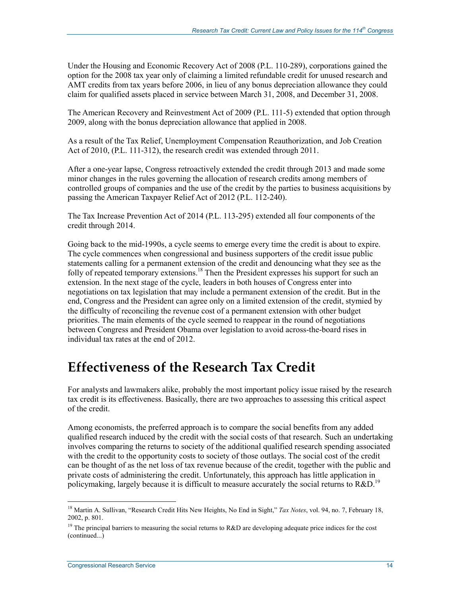Under the Housing and Economic Recovery Act of 2008 (P.L. 110-289), corporations gained the option for the 2008 tax year only of claiming a limited refundable credit for unused research and AMT credits from tax years before 2006, in lieu of any bonus depreciation allowance they could claim for qualified assets placed in service between March 31, 2008, and December 31, 2008.

The American Recovery and Reinvestment Act of 2009 (P.L. 111-5) extended that option through 2009, along with the bonus depreciation allowance that applied in 2008.

As a result of the Tax Relief, Unemployment Compensation Reauthorization, and Job Creation Act of 2010, (P.L. 111-312), the research credit was extended through 2011.

After a one-year lapse, Congress retroactively extended the credit through 2013 and made some minor changes in the rules governing the allocation of research credits among members of controlled groups of companies and the use of the credit by the parties to business acquisitions by passing the American Taxpayer Relief Act of 2012 (P.L. 112-240).

The Tax Increase Prevention Act of 2014 (P.L. 113-295) extended all four components of the credit through 2014.

Going back to the mid-1990s, a cycle seems to emerge every time the credit is about to expire. The cycle commences when congressional and business supporters of the credit issue public statements calling for a permanent extension of the credit and denouncing what they see as the folly of repeated temporary extensions.<sup>18</sup> Then the President expresses his support for such an extension. In the next stage of the cycle, leaders in both houses of Congress enter into negotiations on tax legislation that may include a permanent extension of the credit. But in the end, Congress and the President can agree only on a limited extension of the credit, stymied by the difficulty of reconciling the revenue cost of a permanent extension with other budget priorities. The main elements of the cycle seemed to reappear in the round of negotiations between Congress and President Obama over legislation to avoid across-the-board rises in individual tax rates at the end of 2012.

## **Effectiveness of the Research Tax Credit**

For analysts and lawmakers alike, probably the most important policy issue raised by the research tax credit is its effectiveness. Basically, there are two approaches to assessing this critical aspect of the credit.

Among economists, the preferred approach is to compare the social benefits from any added qualified research induced by the credit with the social costs of that research. Such an undertaking involves comparing the returns to society of the additional qualified research spending associated with the credit to the opportunity costs to society of those outlays. The social cost of the credit can be thought of as the net loss of tax revenue because of the credit, together with the public and private costs of administering the credit. Unfortunately, this approach has little application in policymaking, largely because it is difficult to measure accurately the social returns to  $R\&D$ .<sup>19</sup>

<sup>18</sup> Martin A. Sullivan, "Research Credit Hits New Heights, No End in Sight," *Tax Notes*, vol. 94, no. 7, February 18, 2002, p. 801.

<sup>&</sup>lt;sup>19</sup> The principal barriers to measuring the social returns to R&D are developing adequate price indices for the cost (continued...)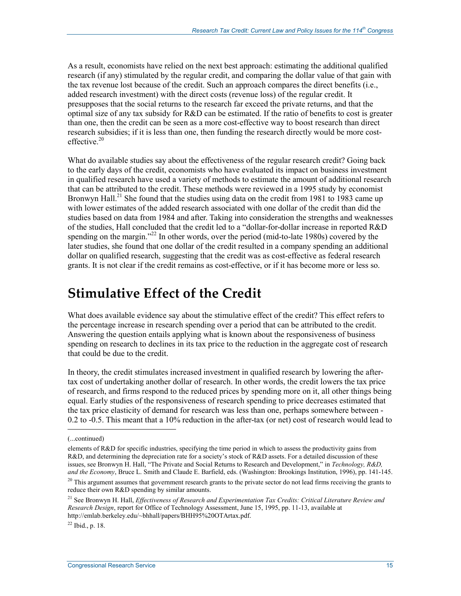As a result, economists have relied on the next best approach: estimating the additional qualified research (if any) stimulated by the regular credit, and comparing the dollar value of that gain with the tax revenue lost because of the credit. Such an approach compares the direct benefits (i.e., added research investment) with the direct costs (revenue loss) of the regular credit. It presupposes that the social returns to the research far exceed the private returns, and that the optimal size of any tax subsidy for R&D can be estimated. If the ratio of benefits to cost is greater than one, then the credit can be seen as a more cost-effective way to boost research than direct research subsidies; if it is less than one, then funding the research directly would be more costeffective $20$ 

What do available studies say about the effectiveness of the regular research credit? Going back to the early days of the credit, economists who have evaluated its impact on business investment in qualified research have used a variety of methods to estimate the amount of additional research that can be attributed to the credit. These methods were reviewed in a 1995 study by economist Bronwyn Hall.<sup>21</sup> She found that the studies using data on the credit from 1981 to 1983 came up with lower estimates of the added research associated with one dollar of the credit than did the studies based on data from 1984 and after. Taking into consideration the strengths and weaknesses of the studies, Hall concluded that the credit led to a "dollar-for-dollar increase in reported R&D spending on the margin."<sup>22</sup> In other words, over the period (mid-to-late 1980s) covered by the later studies, she found that one dollar of the credit resulted in a company spending an additional dollar on qualified research, suggesting that the credit was as cost-effective as federal research grants. It is not clear if the credit remains as cost-effective, or if it has become more or less so.

## **Stimulative Effect of the Credit**

What does available evidence say about the stimulative effect of the credit? This effect refers to the percentage increase in research spending over a period that can be attributed to the credit. Answering the question entails applying what is known about the responsiveness of business spending on research to declines in its tax price to the reduction in the aggregate cost of research that could be due to the credit.

In theory, the credit stimulates increased investment in qualified research by lowering the aftertax cost of undertaking another dollar of research. In other words, the credit lowers the tax price of research, and firms respond to the reduced prices by spending more on it, all other things being equal. Early studies of the responsiveness of research spending to price decreases estimated that the tax price elasticity of demand for research was less than one, perhaps somewhere between - 0.2 to -0.5. This meant that a 10% reduction in the after-tax (or net) cost of research would lead to

 $\overline{a}$ 

<sup>(...</sup>continued)

elements of R&D for specific industries, specifying the time period in which to assess the productivity gains from R&D, and determining the depreciation rate for a society's stock of R&D assets. For a detailed discussion of these issues, see Bronwyn H. Hall, "The Private and Social Returns to Research and Development," in *Technology, R&D, and the Economy*, Bruce L. Smith and Claude E. Barfield, eds. (Washington: Brookings Institution, 1996), pp. 141-145.

 $20$  This argument assumes that government research grants to the private sector do not lead firms receiving the grants to reduce their own R&D spending by similar amounts.

<sup>21</sup> See Bronwyn H. Hall, *Effectiveness of Research and Experimentation Tax Credits: Critical Literature Review and Research Design*, report for Office of Technology Assessment, June 15, 1995, pp. 11-13, available at http://emlab.berkeley.edu/~bhhall/papers/BHH95%20OTArtax.pdf.

 $^{22}$  Ibid., p. 18.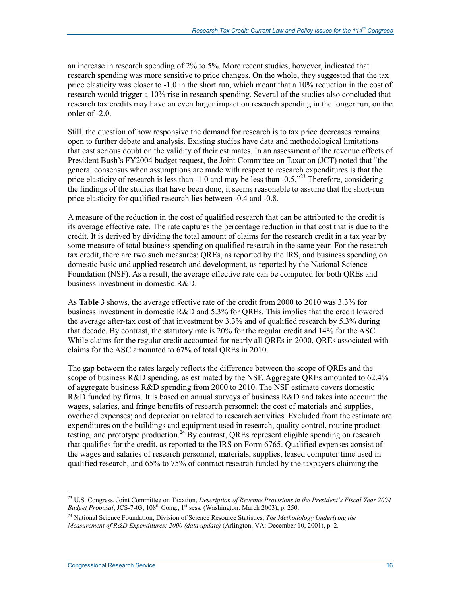an increase in research spending of 2% to 5%. More recent studies, however, indicated that research spending was more sensitive to price changes. On the whole, they suggested that the tax price elasticity was closer to -1.0 in the short run, which meant that a 10% reduction in the cost of research would trigger a 10% rise in research spending. Several of the studies also concluded that research tax credits may have an even larger impact on research spending in the longer run, on the order of -2.0.

Still, the question of how responsive the demand for research is to tax price decreases remains open to further debate and analysis. Existing studies have data and methodological limitations that cast serious doubt on the validity of their estimates. In an assessment of the revenue effects of President Bush's FY2004 budget request, the Joint Committee on Taxation (JCT) noted that "the general consensus when assumptions are made with respect to research expenditures is that the price elasticity of research is less than  $-1.0$  and may be less than  $-0.5.^{223}$  Therefore, considering the findings of the studies that have been done, it seems reasonable to assume that the short-run price elasticity for qualified research lies between -0.4 and -0.8.

A measure of the reduction in the cost of qualified research that can be attributed to the credit is its average effective rate. The rate captures the percentage reduction in that cost that is due to the credit. It is derived by dividing the total amount of claims for the research credit in a tax year by some measure of total business spending on qualified research in the same year. For the research tax credit, there are two such measures: QREs, as reported by the IRS, and business spending on domestic basic and applied research and development, as reported by the National Science Foundation (NSF). As a result, the average effective rate can be computed for both QREs and business investment in domestic R&D.

As **Table 3** shows, the average effective rate of the credit from 2000 to 2010 was 3.3% for business investment in domestic R&D and 5.3% for QREs. This implies that the credit lowered the average after-tax cost of that investment by 3.3% and of qualified research by 5.3% during that decade. By contrast, the statutory rate is 20% for the regular credit and 14% for the ASC. While claims for the regular credit accounted for nearly all QREs in 2000, QREs associated with claims for the ASC amounted to 67% of total QREs in 2010.

The gap between the rates largely reflects the difference between the scope of QREs and the scope of business R&D spending, as estimated by the NSF. Aggregate QREs amounted to 62.4% of aggregate business R&D spending from 2000 to 2010. The NSF estimate covers domestic R&D funded by firms. It is based on annual surveys of business R&D and takes into account the wages, salaries, and fringe benefits of research personnel; the cost of materials and supplies, overhead expenses; and depreciation related to research activities. Excluded from the estimate are expenditures on the buildings and equipment used in research, quality control, routine product testing, and prototype production.<sup>24</sup> By contrast, QREs represent eligible spending on research that qualifies for the credit, as reported to the IRS on Form 6765. Qualified expenses consist of the wages and salaries of research personnel, materials, supplies, leased computer time used in qualified research, and 65% to 75% of contract research funded by the taxpayers claiming the

<sup>1</sup> 23 U.S. Congress, Joint Committee on Taxation, *Description of Revenue Provisions in the President's Fiscal Year 2004 Budget Proposal*, JCS-7-03, 108th Cong., 1st sess. (Washington: March 2003), p. 250.

<sup>24</sup> National Science Foundation, Division of Science Resource Statistics, *The Methodology Underlying the Measurement of R&D Expenditures: 2000 (data update)* (Arlington, VA: December 10, 2001), p. 2.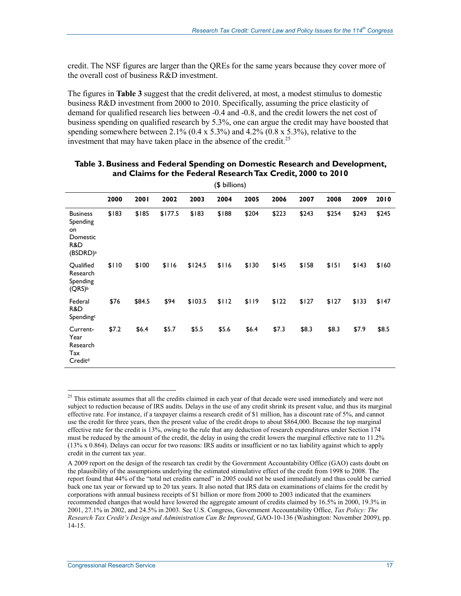credit. The NSF figures are larger than the QREs for the same years because they cover more of the overall cost of business R&D investment.

The figures in **Table 3** suggest that the credit delivered, at most, a modest stimulus to domestic business R&D investment from 2000 to 2010. Specifically, assuming the price elasticity of demand for qualified research lies between -0.4 and -0.8, and the credit lowers the net cost of business spending on qualified research by 5.3%, one can argue the credit may have boosted that spending somewhere between 2.1% (0.4 x 5.3%) and 4.2% (0.8 x 5.3%), relative to the investment that may have taken place in the absence of the credit.<sup>25</sup>

| $(\psi$ unions)                                                              |       |        |         |         |       |       |       |       |       |       |       |
|------------------------------------------------------------------------------|-------|--------|---------|---------|-------|-------|-------|-------|-------|-------|-------|
|                                                                              | 2000  | 2001   | 2002    | 2003    | 2004  | 2005  | 2006  | 2007  | 2008  | 2009  | 2010  |
| <b>Business</b><br>Spending<br>on<br>Domestic<br>R&D<br>(BSDRD) <sup>a</sup> | \$183 | \$185  | \$177.5 | \$183   | \$188 | \$204 | \$223 | \$243 | \$254 | \$243 | \$245 |
| Qualified<br>Research<br>Spending<br>$(QRS)^b$                               | \$110 | \$100  | \$116   | \$124.5 | \$116 | \$130 | \$145 | \$158 | \$151 | \$143 | \$160 |
| Federal<br>R&D<br>Spending <sup>c</sup>                                      | \$76  | \$84.5 | \$94    | \$103.5 | \$112 | \$119 | \$122 | \$127 | \$127 | \$133 | \$147 |
| Current-<br>Year<br>Research<br>Tax<br>Credit <sup>d</sup>                   | \$7.2 | \$6.4  | \$5.7   | \$5.5   | \$5.6 | \$6.4 | \$7.3 | \$8.3 | \$8.3 | \$7.9 | \$8.5 |

#### **Table 3. Business and Federal Spending on Domestic Research and Development, and Claims for the Federal Research Tax Credit, 2000 to 2010**  (\$ billions)

<sup>1</sup> <sup>25</sup> This estimate assumes that all the credits claimed in each year of that decade were used immediately and were not subject to reduction because of IRS audits. Delays in the use of any credit shrink its present value, and thus its marginal effective rate. For instance, if a taxpayer claims a research credit of \$1 million, has a discount rate of 5%, and cannot use the credit for three years, then the present value of the credit drops to about \$864,000. Because the top marginal effective rate for the credit is 13%, owing to the rule that any deduction of research expenditures under Section 174 must be reduced by the amount of the credit, the delay in using the credit lowers the marginal effective rate to 11.2% (13% x 0.864). Delays can occur for two reasons: IRS audits or insufficient or no tax liability against which to apply credit in the current tax year.

A 2009 report on the design of the research tax credit by the Government Accountability Office (GAO) casts doubt on the plausibility of the assumptions underlying the estimated stimulative effect of the credit from 1998 to 2008. The report found that 44% of the "total net credits earned" in 2005 could not be used immediately and thus could be carried back one tax year or forward up to 20 tax years. It also noted that IRS data on examinations of claims for the credit by corporations with annual business receipts of \$1 billion or more from 2000 to 2003 indicated that the examiners recommended changes that would have lowered the aggregate amount of credits claimed by 16.5% in 2000, 19.3% in 2001, 27.1% in 2002, and 24.5% in 2003. See U.S. Congress, Government Accountability Office, *Tax Policy: The Research Tax Credit's Design and Administration Can Be Improved*, GAO-10-136 (Washington: November 2009), pp. 14-15.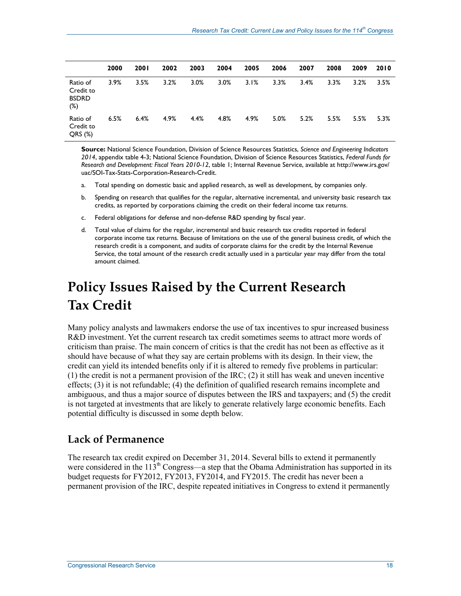|                                              | 2000 | <b>2001</b> | 2002 | 2003 | 2004 | 2005 | 2006 | 2007 | 2008 | 2009 | 2010 |
|----------------------------------------------|------|-------------|------|------|------|------|------|------|------|------|------|
| Ratio of<br>Credit to<br><b>BSDRD</b><br>(%) | 3.9% | 3.5%        | 3.2% | 3.0% | 3.0% | 3.1% | 3.3% | 3.4% | 3.3% | 3.2% | 3.5% |
| Ratio of<br>Credit to<br>QRS(%)              | 6.5% | 6.4%        | 4.9% | 4.4% | 4.8% | 4.9% | 5.0% | 5.2% | 5.5% | 5.5% | 5.3% |

**Source:** National Science Foundation, Division of Science Resources Statistics, *Science and Engineering Indicators 2014*, appendix table 4-3; National Science Foundation, Division of Science Resources Statistics, *Federal Funds for Research and Development: Fiscal Years 2010-12*, table 1; Internal Revenue Service, available at http://www.irs.gov/ uac/SOI-Tax-Stats-Corporation-Research-Credit.

- a. Total spending on domestic basic and applied research, as well as development, by companies only.
- b. Spending on research that qualifies for the regular, alternative incremental, and university basic research tax credits, as reported by corporations claiming the credit on their federal income tax returns.
- c. Federal obligations for defense and non-defense R&D spending by fiscal year.
- d. Total value of claims for the regular, incremental and basic research tax credits reported in federal corporate income tax returns. Because of limitations on the use of the general business credit, of which the research credit is a component, and audits of corporate claims for the credit by the Internal Revenue Service, the total amount of the research credit actually used in a particular year may differ from the total amount claimed.

# **Policy Issues Raised by the Current Research Tax Credit**

Many policy analysts and lawmakers endorse the use of tax incentives to spur increased business R&D investment. Yet the current research tax credit sometimes seems to attract more words of criticism than praise. The main concern of critics is that the credit has not been as effective as it should have because of what they say are certain problems with its design. In their view, the credit can yield its intended benefits only if it is altered to remedy five problems in particular: (1) the credit is not a permanent provision of the IRC; (2) it still has weak and uneven incentive effects; (3) it is not refundable; (4) the definition of qualified research remains incomplete and ambiguous, and thus a major source of disputes between the IRS and taxpayers; and (5) the credit is not targeted at investments that are likely to generate relatively large economic benefits. Each potential difficulty is discussed in some depth below.

### **Lack of Permanence**

The research tax credit expired on December 31, 2014. Several bills to extend it permanently were considered in the 113<sup>th</sup> Congress—a step that the Obama Administration has supported in its budget requests for FY2012, FY2013, FY2014, and FY2015. The credit has never been a permanent provision of the IRC, despite repeated initiatives in Congress to extend it permanently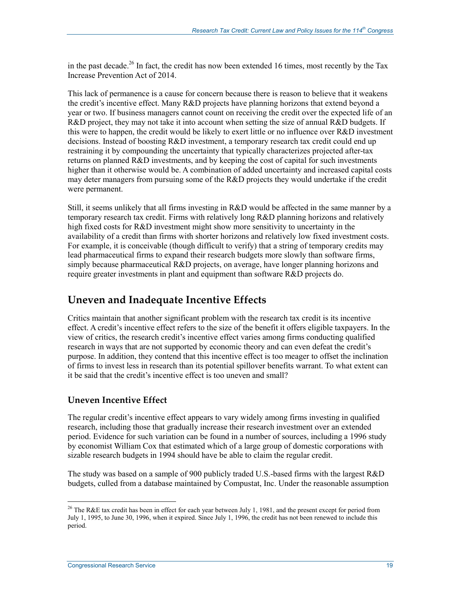in the past decade.<sup>26</sup> In fact, the credit has now been extended 16 times, most recently by the Tax Increase Prevention Act of 2014.

This lack of permanence is a cause for concern because there is reason to believe that it weakens the credit's incentive effect. Many R&D projects have planning horizons that extend beyond a year or two. If business managers cannot count on receiving the credit over the expected life of an R&D project, they may not take it into account when setting the size of annual R&D budgets. If this were to happen, the credit would be likely to exert little or no influence over R&D investment decisions. Instead of boosting R&D investment, a temporary research tax credit could end up restraining it by compounding the uncertainty that typically characterizes projected after-tax returns on planned R&D investments, and by keeping the cost of capital for such investments higher than it otherwise would be. A combination of added uncertainty and increased capital costs may deter managers from pursuing some of the R&D projects they would undertake if the credit were permanent.

Still, it seems unlikely that all firms investing in R&D would be affected in the same manner by a temporary research tax credit. Firms with relatively long R&D planning horizons and relatively high fixed costs for R&D investment might show more sensitivity to uncertainty in the availability of a credit than firms with shorter horizons and relatively low fixed investment costs. For example, it is conceivable (though difficult to verify) that a string of temporary credits may lead pharmaceutical firms to expand their research budgets more slowly than software firms, simply because pharmaceutical R&D projects, on average, have longer planning horizons and require greater investments in plant and equipment than software R&D projects do.

## **Uneven and Inadequate Incentive Effects**

Critics maintain that another significant problem with the research tax credit is its incentive effect. A credit's incentive effect refers to the size of the benefit it offers eligible taxpayers. In the view of critics, the research credit's incentive effect varies among firms conducting qualified research in ways that are not supported by economic theory and can even defeat the credit's purpose. In addition, they contend that this incentive effect is too meager to offset the inclination of firms to invest less in research than its potential spillover benefits warrant. To what extent can it be said that the credit's incentive effect is too uneven and small?

### **Uneven Incentive Effect**

The regular credit's incentive effect appears to vary widely among firms investing in qualified research, including those that gradually increase their research investment over an extended period. Evidence for such variation can be found in a number of sources, including a 1996 study by economist William Cox that estimated which of a large group of domestic corporations with sizable research budgets in 1994 should have be able to claim the regular credit.

The study was based on a sample of 900 publicly traded U.S.-based firms with the largest R&D budgets, culled from a database maintained by Compustat, Inc. Under the reasonable assumption

<sup>&</sup>lt;sup>26</sup> The R&E tax credit has been in effect for each year between July 1, 1981, and the present except for period from July 1, 1995, to June 30, 1996, when it expired. Since July 1, 1996, the credit has not been renewed to include this period.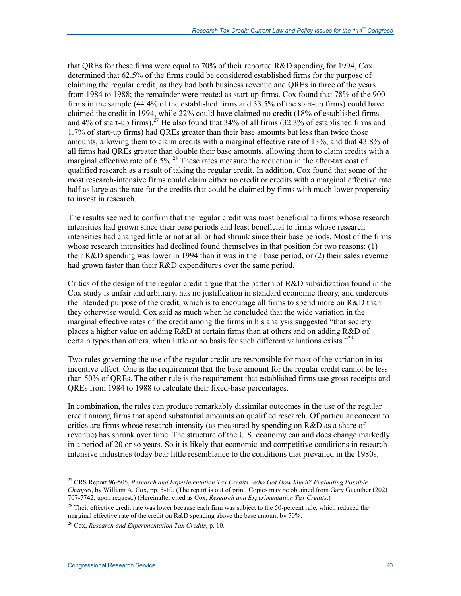that QREs for these firms were equal to 70% of their reported R&D spending for 1994, Cox determined that 62.5% of the firms could be considered established firms for the purpose of claiming the regular credit, as they had both business revenue and QREs in three of the years from 1984 to 1988; the remainder were treated as start-up firms. Cox found that 78% of the 900 firms in the sample (44.4% of the established firms and 33.5% of the start-up firms) could have claimed the credit in 1994, while 22% could have claimed no credit (18% of established firms and 4% of start-up firms).<sup>27</sup> He also found that  $34\%$  of all firms (32.3% of established firms and 1.7% of start-up firms) had QREs greater than their base amounts but less than twice those amounts, allowing them to claim credits with a marginal effective rate of 13%, and that 43.8% of all firms had QREs greater than double their base amounts, allowing them to claim credits with a marginal effective rate of  $6.5\%$ <sup>28</sup> These rates measure the reduction in the after-tax cost of qualified research as a result of taking the regular credit. In addition, Cox found that some of the most research-intensive firms could claim either no credit or credits with a marginal effective rate half as large as the rate for the credits that could be claimed by firms with much lower propensity to invest in research.

The results seemed to confirm that the regular credit was most beneficial to firms whose research intensities had grown since their base periods and least beneficial to firms whose research intensities had changed little or not at all or had shrunk since their base periods. Most of the firms whose research intensities had declined found themselves in that position for two reasons: (1) their R&D spending was lower in 1994 than it was in their base period, or (2) their sales revenue had grown faster than their R&D expenditures over the same period.

Critics of the design of the regular credit argue that the pattern of R&D subsidization found in the Cox study is unfair and arbitrary, has no justification in standard economic theory, and undercuts the intended purpose of the credit, which is to encourage all firms to spend more on R&D than they otherwise would. Cox said as much when he concluded that the wide variation in the marginal effective rates of the credit among the firms in his analysis suggested "that society places a higher value on adding R&D at certain firms than at others and on adding R&D of certain types than others, when little or no basis for such different valuations exists."<sup>29</sup>

Two rules governing the use of the regular credit are responsible for most of the variation in its incentive effect. One is the requirement that the base amount for the regular credit cannot be less than 50% of QREs. The other rule is the requirement that established firms use gross receipts and QREs from 1984 to 1988 to calculate their fixed-base percentages.

In combination, the rules can produce remarkably dissimilar outcomes in the use of the regular credit among firms that spend substantial amounts on qualified research. Of particular concern to critics are firms whose research-intensity (as measured by spending on R&D as a share of revenue) has shrunk over time. The structure of the U.S. economy can and does change markedly in a period of 20 or so years. So it is likely that economic and competitive conditions in researchintensive industries today bear little resemblance to the conditions that prevailed in the 1980s.

<sup>27</sup> CRS Report 96-505, *Research and Experimentation Tax Credits: Who Got How Much? Evaluating Possible Changes*, by William A. Cox, pp. 5-10. (The report is out of print. Copies may be obtained from Gary Guenther (202) 707-7742, upon request.) (Hereinafter cited as Cox, *Research and Experimentation Tax Credits*.)

<sup>&</sup>lt;sup>28</sup> Their effective credit rate was lower because each firm was subject to the 50-percent rule, which reduced the marginal effective rate of the credit on R&D spending above the base amount by 50%.

<sup>29</sup> Cox, *Research and Experimentation Tax Credits*, p. 10.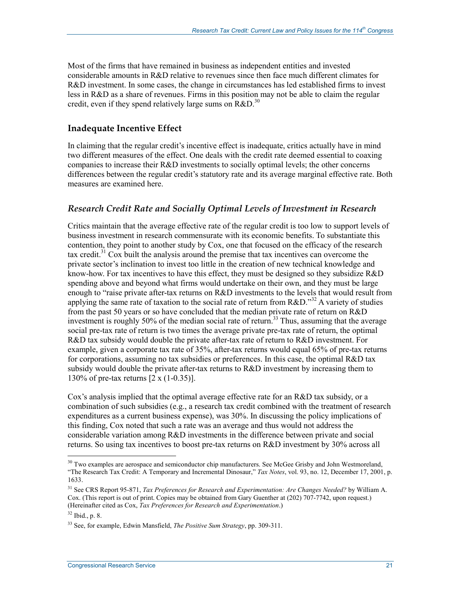Most of the firms that have remained in business as independent entities and invested considerable amounts in R&D relative to revenues since then face much different climates for R&D investment. In some cases, the change in circumstances has led established firms to invest less in R&D as a share of revenues. Firms in this position may not be able to claim the regular credit, even if they spend relatively large sums on  $R\&D$ <sup>30</sup>

### **Inadequate Incentive Effect**

In claiming that the regular credit's incentive effect is inadequate, critics actually have in mind two different measures of the effect. One deals with the credit rate deemed essential to coaxing companies to increase their R&D investments to socially optimal levels; the other concerns differences between the regular credit's statutory rate and its average marginal effective rate. Both measures are examined here.

### *Research Credit Rate and Socially Optimal Levels of Investment in Research*

Critics maintain that the average effective rate of the regular credit is too low to support levels of business investment in research commensurate with its economic benefits. To substantiate this contention, they point to another study by Cox, one that focused on the efficacy of the research tax credit. $31 \text{ Cox}$  built the analysis around the premise that tax incentives can overcome the private sector's inclination to invest too little in the creation of new technical knowledge and know-how. For tax incentives to have this effect, they must be designed so they subsidize R&D spending above and beyond what firms would undertake on their own, and they must be large enough to "raise private after-tax returns on R&D investments to the levels that would result from applying the same rate of taxation to the social rate of return from  $R&D$ ."<sup>32</sup> A variety of studies from the past 50 years or so have concluded that the median private rate of return on R&D investment is roughly 50% of the median social rate of return.<sup>33</sup> Thus, assuming that the average social pre-tax rate of return is two times the average private pre-tax rate of return, the optimal R&D tax subsidy would double the private after-tax rate of return to R&D investment. For example, given a corporate tax rate of 35%, after-tax returns would equal 65% of pre-tax returns for corporations, assuming no tax subsidies or preferences. In this case, the optimal R&D tax subsidy would double the private after-tax returns to R&D investment by increasing them to 130% of pre-tax returns [2 x (1-0.35)].

Cox's analysis implied that the optimal average effective rate for an R&D tax subsidy, or a combination of such subsidies (e.g., a research tax credit combined with the treatment of research expenditures as a current business expense), was 30%. In discussing the policy implications of this finding, Cox noted that such a rate was an average and thus would not address the considerable variation among R&D investments in the difference between private and social returns. So using tax incentives to boost pre-tax returns on R&D investment by 30% across all

<sup>&</sup>lt;sup>30</sup> Two examples are aerospace and semiconductor chip manufacturers. See McGee Grisby and John Westmoreland, "The Research Tax Credit: A Temporary and Incremental Dinosaur," *Tax Notes*, vol. 93, no. 12, December 17, 2001, p. 1633.

<sup>31</sup> See CRS Report 95-871, *Tax Preferences for Research and Experimentation: Are Changes Needed?* by William A. Cox. (This report is out of print. Copies may be obtained from Gary Guenther at (202) 707-7742, upon request.) (Hereinafter cited as Cox, *Tax Preferences for Research and Experimentation*.)

<sup>32</sup> Ibid., p. 8.

<sup>33</sup> See, for example, Edwin Mansfield, *The Positive Sum Strategy*, pp. 309-311.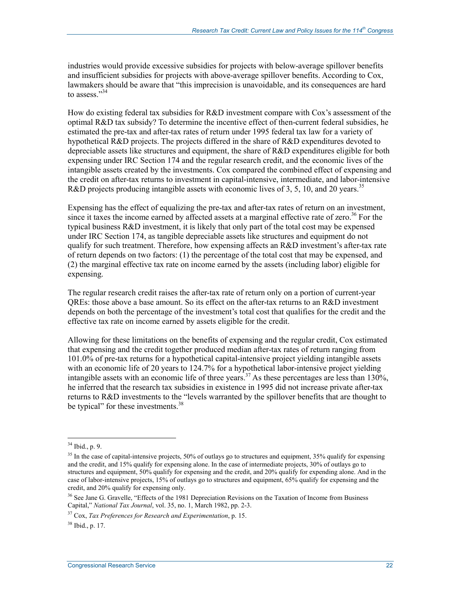industries would provide excessive subsidies for projects with below-average spillover benefits and insufficient subsidies for projects with above-average spillover benefits. According to Cox, lawmakers should be aware that "this imprecision is unavoidable, and its consequences are hard to assess<sup>"34</sup>

How do existing federal tax subsidies for R&D investment compare with Cox's assessment of the optimal R&D tax subsidy? To determine the incentive effect of then-current federal subsidies, he estimated the pre-tax and after-tax rates of return under 1995 federal tax law for a variety of hypothetical R&D projects. The projects differed in the share of R&D expenditures devoted to depreciable assets like structures and equipment, the share of R&D expenditures eligible for both expensing under IRC Section 174 and the regular research credit, and the economic lives of the intangible assets created by the investments. Cox compared the combined effect of expensing and the credit on after-tax returns to investment in capital-intensive, intermediate, and labor-intensive R&D projects producing intangible assets with economic lives of 3, 5, 10, and 20 years.<sup>35</sup>

Expensing has the effect of equalizing the pre-tax and after-tax rates of return on an investment, since it taxes the income earned by affected assets at a marginal effective rate of zero.<sup>36</sup> For the typical business R&D investment, it is likely that only part of the total cost may be expensed under IRC Section 174, as tangible depreciable assets like structures and equipment do not qualify for such treatment. Therefore, how expensing affects an R&D investment's after-tax rate of return depends on two factors: (1) the percentage of the total cost that may be expensed, and (2) the marginal effective tax rate on income earned by the assets (including labor) eligible for expensing.

The regular research credit raises the after-tax rate of return only on a portion of current-year QREs: those above a base amount. So its effect on the after-tax returns to an R&D investment depends on both the percentage of the investment's total cost that qualifies for the credit and the effective tax rate on income earned by assets eligible for the credit.

Allowing for these limitations on the benefits of expensing and the regular credit, Cox estimated that expensing and the credit together produced median after-tax rates of return ranging from 101.0% of pre-tax returns for a hypothetical capital-intensive project yielding intangible assets with an economic life of 20 years to 124.7% for a hypothetical labor-intensive project yielding intangible assets with an economic life of three years.<sup>37</sup> As these percentages are less than  $130\%$ , he inferred that the research tax subsidies in existence in 1995 did not increase private after-tax returns to R&D investments to the "levels warranted by the spillover benefits that are thought to be typical" for these investments.<sup>38</sup>

<sup>34</sup> Ibid., p. 9.

<sup>&</sup>lt;sup>35</sup> In the case of capital-intensive projects, 50% of outlays go to structures and equipment, 35% qualify for expensing and the credit, and 15% qualify for expensing alone. In the case of intermediate projects, 30% of outlays go to structures and equipment, 50% qualify for expensing and the credit, and 20% qualify for expending alone. And in the case of labor-intensive projects, 15% of outlays go to structures and equipment, 65% qualify for expensing and the credit, and 20% qualify for expensing only.

<sup>&</sup>lt;sup>36</sup> See Jane G. Gravelle, "Effects of the 1981 Depreciation Revisions on the Taxation of Income from Business Capital," *National Tax Journal*, vol. 35, no. 1, March 1982, pp. 2-3.

<sup>37</sup> Cox, *Tax Preferences for Research and Experimentation*, p. 15.

 $38$  Ibid., p. 17.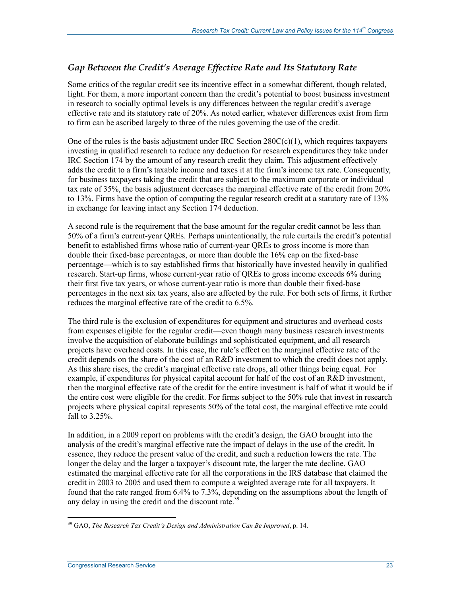### *Gap Between the Credit's Average Effective Rate and Its Statutory Rate*

Some critics of the regular credit see its incentive effect in a somewhat different, though related, light. For them, a more important concern than the credit's potential to boost business investment in research to socially optimal levels is any differences between the regular credit's average effective rate and its statutory rate of 20%. As noted earlier, whatever differences exist from firm to firm can be ascribed largely to three of the rules governing the use of the credit.

One of the rules is the basis adjustment under IRC Section  $280C(c)(1)$ , which requires taxpayers investing in qualified research to reduce any deduction for research expenditures they take under IRC Section 174 by the amount of any research credit they claim. This adjustment effectively adds the credit to a firm's taxable income and taxes it at the firm's income tax rate. Consequently, for business taxpayers taking the credit that are subject to the maximum corporate or individual tax rate of 35%, the basis adjustment decreases the marginal effective rate of the credit from 20% to 13%. Firms have the option of computing the regular research credit at a statutory rate of 13% in exchange for leaving intact any Section 174 deduction.

A second rule is the requirement that the base amount for the regular credit cannot be less than 50% of a firm's current-year QREs. Perhaps unintentionally, the rule curtails the credit's potential benefit to established firms whose ratio of current-year QREs to gross income is more than double their fixed-base percentages, or more than double the 16% cap on the fixed-base percentage—which is to say established firms that historically have invested heavily in qualified research. Start-up firms, whose current-year ratio of QREs to gross income exceeds 6% during their first five tax years, or whose current-year ratio is more than double their fixed-base percentages in the next six tax years, also are affected by the rule. For both sets of firms, it further reduces the marginal effective rate of the credit to 6.5%.

The third rule is the exclusion of expenditures for equipment and structures and overhead costs from expenses eligible for the regular credit—even though many business research investments involve the acquisition of elaborate buildings and sophisticated equipment, and all research projects have overhead costs. In this case, the rule's effect on the marginal effective rate of the credit depends on the share of the cost of an R&D investment to which the credit does not apply. As this share rises, the credit's marginal effective rate drops, all other things being equal. For example, if expenditures for physical capital account for half of the cost of an R&D investment, then the marginal effective rate of the credit for the entire investment is half of what it would be if the entire cost were eligible for the credit. For firms subject to the 50% rule that invest in research projects where physical capital represents 50% of the total cost, the marginal effective rate could fall to 3.25%.

In addition, in a 2009 report on problems with the credit's design, the GAO brought into the analysis of the credit's marginal effective rate the impact of delays in the use of the credit. In essence, they reduce the present value of the credit, and such a reduction lowers the rate. The longer the delay and the larger a taxpayer's discount rate, the larger the rate decline. GAO estimated the marginal effective rate for all the corporations in the IRS database that claimed the credit in 2003 to 2005 and used them to compute a weighted average rate for all taxpayers. It found that the rate ranged from 6.4% to 7.3%, depending on the assumptions about the length of any delay in using the credit and the discount rate.<sup>39</sup>

<u>.</u>

<sup>39</sup> GAO, *The Research Tax Credit's Design and Administration Can Be Improved*, p. 14.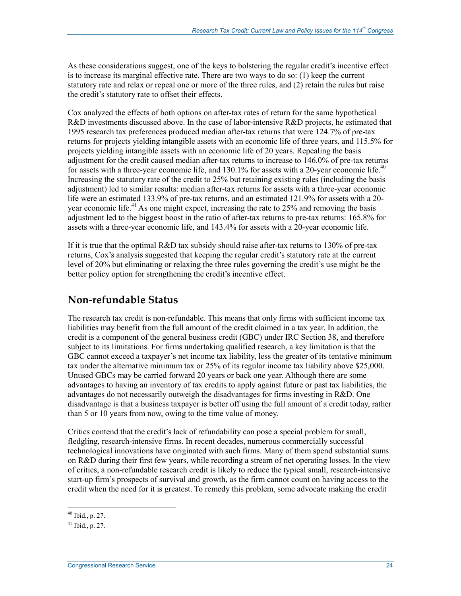As these considerations suggest, one of the keys to bolstering the regular credit's incentive effect is to increase its marginal effective rate. There are two ways to do so: (1) keep the current statutory rate and relax or repeal one or more of the three rules, and (2) retain the rules but raise the credit's statutory rate to offset their effects.

Cox analyzed the effects of both options on after-tax rates of return for the same hypothetical R&D investments discussed above. In the case of labor-intensive R&D projects, he estimated that 1995 research tax preferences produced median after-tax returns that were 124.7% of pre-tax returns for projects yielding intangible assets with an economic life of three years, and 115.5% for projects yielding intangible assets with an economic life of 20 years. Repealing the basis adjustment for the credit caused median after-tax returns to increase to 146.0% of pre-tax returns for assets with a three-year economic life, and 130.1% for assets with a 20-year economic life.<sup>40</sup> Increasing the statutory rate of the credit to 25% but retaining existing rules (including the basis adjustment) led to similar results: median after-tax returns for assets with a three-year economic life were an estimated 133.9% of pre-tax returns, and an estimated 121.9% for assets with a 20 year economic life.<sup>41</sup> As one might expect, increasing the rate to 25% and removing the basis adjustment led to the biggest boost in the ratio of after-tax returns to pre-tax returns: 165.8% for assets with a three-year economic life, and 143.4% for assets with a 20-year economic life.

If it is true that the optimal R&D tax subsidy should raise after-tax returns to 130% of pre-tax returns, Cox's analysis suggested that keeping the regular credit's statutory rate at the current level of 20% but eliminating or relaxing the three rules governing the credit's use might be the better policy option for strengthening the credit's incentive effect.

### **Non-refundable Status**

The research tax credit is non-refundable. This means that only firms with sufficient income tax liabilities may benefit from the full amount of the credit claimed in a tax year. In addition, the credit is a component of the general business credit (GBC) under IRC Section 38, and therefore subject to its limitations. For firms undertaking qualified research, a key limitation is that the GBC cannot exceed a taxpayer's net income tax liability, less the greater of its tentative minimum tax under the alternative minimum tax or 25% of its regular income tax liability above \$25,000. Unused GBCs may be carried forward 20 years or back one year. Although there are some advantages to having an inventory of tax credits to apply against future or past tax liabilities, the advantages do not necessarily outweigh the disadvantages for firms investing in R&D. One disadvantage is that a business taxpayer is better off using the full amount of a credit today, rather than 5 or 10 years from now, owing to the time value of money.

Critics contend that the credit's lack of refundability can pose a special problem for small, fledgling, research-intensive firms. In recent decades, numerous commercially successful technological innovations have originated with such firms. Many of them spend substantial sums on R&D during their first few years, while recording a stream of net operating losses. In the view of critics, a non-refundable research credit is likely to reduce the typical small, research-intensive start-up firm's prospects of survival and growth, as the firm cannot count on having access to the credit when the need for it is greatest. To remedy this problem, some advocate making the credit

 $40$  Ibid., p. 27.

 $41$  Ibid., p. 27.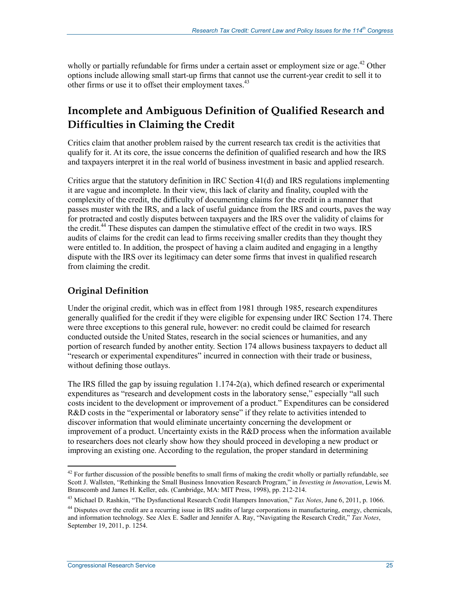wholly or partially refundable for firms under a certain asset or employment size or age.<sup>42</sup> Other options include allowing small start-up firms that cannot use the current-year credit to sell it to other firms or use it to offset their employment taxes.<sup>43</sup>

## **Incomplete and Ambiguous Definition of Qualified Research and Difficulties in Claiming the Credit**

Critics claim that another problem raised by the current research tax credit is the activities that qualify for it. At its core, the issue concerns the definition of qualified research and how the IRS and taxpayers interpret it in the real world of business investment in basic and applied research.

Critics argue that the statutory definition in IRC Section 41(d) and IRS regulations implementing it are vague and incomplete. In their view, this lack of clarity and finality, coupled with the complexity of the credit, the difficulty of documenting claims for the credit in a manner that passes muster with the IRS, and a lack of useful guidance from the IRS and courts, paves the way for protracted and costly disputes between taxpayers and the IRS over the validity of claims for the credit.<sup>44</sup> These disputes can dampen the stimulative effect of the credit in two ways. IRS audits of claims for the credit can lead to firms receiving smaller credits than they thought they were entitled to. In addition, the prospect of having a claim audited and engaging in a lengthy dispute with the IRS over its legitimacy can deter some firms that invest in qualified research from claiming the credit.

### **Original Definition**

Under the original credit, which was in effect from 1981 through 1985, research expenditures generally qualified for the credit if they were eligible for expensing under IRC Section 174. There were three exceptions to this general rule, however: no credit could be claimed for research conducted outside the United States, research in the social sciences or humanities, and any portion of research funded by another entity. Section 174 allows business taxpayers to deduct all "research or experimental expenditures" incurred in connection with their trade or business, without defining those outlays.

The IRS filled the gap by issuing regulation  $1.174-2(a)$ , which defined research or experimental expenditures as "research and development costs in the laboratory sense," especially "all such costs incident to the development or improvement of a product." Expenditures can be considered R&D costs in the "experimental or laboratory sense" if they relate to activities intended to discover information that would eliminate uncertainty concerning the development or improvement of a product. Uncertainty exists in the R&D process when the information available to researchers does not clearly show how they should proceed in developing a new product or improving an existing one. According to the regulation, the proper standard in determining

 $42$  For further discussion of the possible benefits to small firms of making the credit wholly or partially refundable, see Scott J. Wallsten, "Rethinking the Small Business Innovation Research Program," in *Investing in Innovation*, Lewis M. Branscomb and James H. Keller, eds. (Cambridge, MA: MIT Press, 1998), pp. 212-214.

<sup>43</sup> Michael D. Rashkin, "The Dysfunctional Research Credit Hampers Innovation," *Tax Notes*, June 6, 2011, p. 1066.

<sup>&</sup>lt;sup>44</sup> Disputes over the credit are a recurring issue in IRS audits of large corporations in manufacturing, energy, chemicals, and information technology. See Alex E. Sadler and Jennifer A. Ray, "Navigating the Research Credit," *Tax Notes*, September 19, 2011, p. 1254.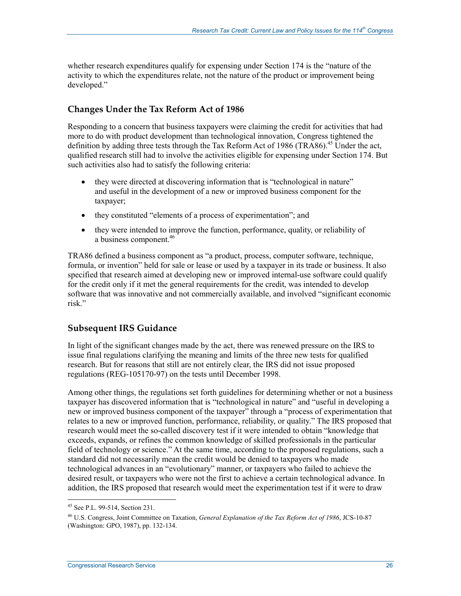whether research expenditures qualify for expensing under Section 174 is the "nature of the activity to which the expenditures relate, not the nature of the product or improvement being developed."

### **Changes Under the Tax Reform Act of 1986**

Responding to a concern that business taxpayers were claiming the credit for activities that had more to do with product development than technological innovation, Congress tightened the definition by adding three tests through the Tax Reform Act of 1986 (TRA86).<sup>45</sup> Under the act, qualified research still had to involve the activities eligible for expensing under Section 174. But such activities also had to satisfy the following criteria:

- they were directed at discovering information that is "technological in nature" and useful in the development of a new or improved business component for the taxpayer;
- they constituted "elements of a process of experimentation"; and
- they were intended to improve the function, performance, quality, or reliability of a business component.<sup>46</sup>

TRA86 defined a business component as "a product, process, computer software, technique, formula, or invention" held for sale or lease or used by a taxpayer in its trade or business. It also specified that research aimed at developing new or improved internal-use software could qualify for the credit only if it met the general requirements for the credit, was intended to develop software that was innovative and not commercially available, and involved "significant economic risk."

### **Subsequent IRS Guidance**

In light of the significant changes made by the act, there was renewed pressure on the IRS to issue final regulations clarifying the meaning and limits of the three new tests for qualified research. But for reasons that still are not entirely clear, the IRS did not issue proposed regulations (REG-105170-97) on the tests until December 1998.

Among other things, the regulations set forth guidelines for determining whether or not a business taxpayer has discovered information that is "technological in nature" and "useful in developing a new or improved business component of the taxpayer" through a "process of experimentation that relates to a new or improved function, performance, reliability, or quality." The IRS proposed that research would meet the so-called discovery test if it were intended to obtain "knowledge that exceeds, expands, or refines the common knowledge of skilled professionals in the particular field of technology or science." At the same time, according to the proposed regulations, such a standard did not necessarily mean the credit would be denied to taxpayers who made technological advances in an "evolutionary" manner, or taxpayers who failed to achieve the desired result, or taxpayers who were not the first to achieve a certain technological advance. In addition, the IRS proposed that research would meet the experimentation test if it were to draw

<sup>45</sup> See P.L. 99-514, Section 231.

<sup>46</sup> U.S. Congress, Joint Committee on Taxation, *General Explanation of the Tax Reform Act of 1986*, JCS-10-87 (Washington: GPO, 1987), pp. 132-134.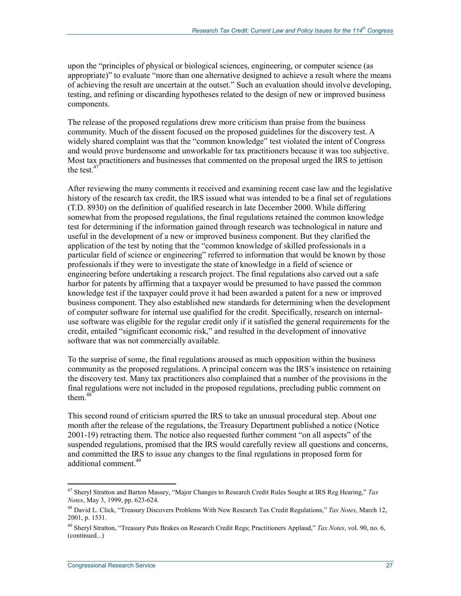upon the "principles of physical or biological sciences, engineering, or computer science (as appropriate)" to evaluate "more than one alternative designed to achieve a result where the means of achieving the result are uncertain at the outset." Such an evaluation should involve developing, testing, and refining or discarding hypotheses related to the design of new or improved business components.

The release of the proposed regulations drew more criticism than praise from the business community. Much of the dissent focused on the proposed guidelines for the discovery test. A widely shared complaint was that the "common knowledge" test violated the intent of Congress and would prove burdensome and unworkable for tax practitioners because it was too subjective. Most tax practitioners and businesses that commented on the proposal urged the IRS to jettison the test. $47$ 

After reviewing the many comments it received and examining recent case law and the legislative history of the research tax credit, the IRS issued what was intended to be a final set of regulations (T.D. 8930) on the definition of qualified research in late December 2000. While differing somewhat from the proposed regulations, the final regulations retained the common knowledge test for determining if the information gained through research was technological in nature and useful in the development of a new or improved business component. But they clarified the application of the test by noting that the "common knowledge of skilled professionals in a particular field of science or engineering" referred to information that would be known by those professionals if they were to investigate the state of knowledge in a field of science or engineering before undertaking a research project. The final regulations also carved out a safe harbor for patents by affirming that a taxpayer would be presumed to have passed the common knowledge test if the taxpayer could prove it had been awarded a patent for a new or improved business component. They also established new standards for determining when the development of computer software for internal use qualified for the credit. Specifically, research on internaluse software was eligible for the regular credit only if it satisfied the general requirements for the credit, entailed "significant economic risk," and resulted in the development of innovative software that was not commercially available.

To the surprise of some, the final regulations aroused as much opposition within the business community as the proposed regulations. A principal concern was the IRS's insistence on retaining the discovery test. Many tax practitioners also complained that a number of the provisions in the final regulations were not included in the proposed regulations, precluding public comment on them.<sup>48</sup>

This second round of criticism spurred the IRS to take an unusual procedural step. About one month after the release of the regulations, the Treasury Department published a notice (Notice 2001-19) retracting them. The notice also requested further comment "on all aspects" of the suspended regulations, promised that the IRS would carefully review all questions and concerns, and committed the IRS to issue any changes to the final regulations in proposed form for additional comment.<sup>49</sup>

<sup>47</sup> Sheryl Stratton and Barton Massey, "Major Changes to Research Credit Rules Sought at IRS Reg Hearing," *Tax Notes*, May 3, 1999, pp. 623-624.

<sup>48</sup> David L. Click, "Treasury Discovers Problems With New Research Tax Credit Regulations," *Tax Notes*, March 12, 2001, p. 1531.

<sup>49</sup> Sheryl Stratton, "Treasury Puts Brakes on Research Credit Regs; Practitioners Applaud," *Tax Notes*, vol. 90, no. 6, (continued...)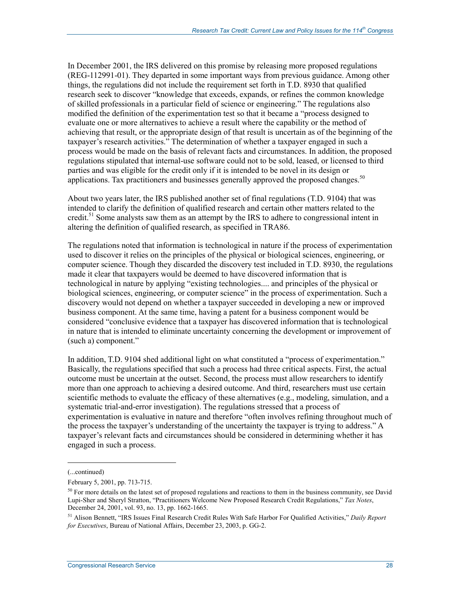In December 2001, the IRS delivered on this promise by releasing more proposed regulations (REG-112991-01). They departed in some important ways from previous guidance. Among other things, the regulations did not include the requirement set forth in T.D. 8930 that qualified research seek to discover "knowledge that exceeds, expands, or refines the common knowledge of skilled professionals in a particular field of science or engineering." The regulations also modified the definition of the experimentation test so that it became a "process designed to evaluate one or more alternatives to achieve a result where the capability or the method of achieving that result, or the appropriate design of that result is uncertain as of the beginning of the taxpayer's research activities." The determination of whether a taxpayer engaged in such a process would be made on the basis of relevant facts and circumstances. In addition, the proposed regulations stipulated that internal-use software could not to be sold, leased, or licensed to third parties and was eligible for the credit only if it is intended to be novel in its design or applications. Tax practitioners and businesses generally approved the proposed changes.<sup>50</sup>

About two years later, the IRS published another set of final regulations (T.D. 9104) that was intended to clarify the definition of qualified research and certain other matters related to the credit.<sup>51</sup> Some analysts saw them as an attempt by the IRS to adhere to congressional intent in altering the definition of qualified research, as specified in TRA86.

The regulations noted that information is technological in nature if the process of experimentation used to discover it relies on the principles of the physical or biological sciences, engineering, or computer science. Though they discarded the discovery test included in T.D. 8930, the regulations made it clear that taxpayers would be deemed to have discovered information that is technological in nature by applying "existing technologies.... and principles of the physical or biological sciences, engineering, or computer science" in the process of experimentation. Such a discovery would not depend on whether a taxpayer succeeded in developing a new or improved business component. At the same time, having a patent for a business component would be considered "conclusive evidence that a taxpayer has discovered information that is technological in nature that is intended to eliminate uncertainty concerning the development or improvement of (such a) component."

In addition, T.D. 9104 shed additional light on what constituted a "process of experimentation." Basically, the regulations specified that such a process had three critical aspects. First, the actual outcome must be uncertain at the outset. Second, the process must allow researchers to identify more than one approach to achieving a desired outcome. And third, researchers must use certain scientific methods to evaluate the efficacy of these alternatives  $(e.g., \text{ modeling, simulation, and a})$ systematic trial-and-error investigation). The regulations stressed that a process of experimentation is evaluative in nature and therefore "often involves refining throughout much of the process the taxpayer's understanding of the uncertainty the taxpayer is trying to address." A taxpayer's relevant facts and circumstances should be considered in determining whether it has engaged in such a process.

<sup>(...</sup>continued)

February 5, 2001, pp. 713-715.

<sup>&</sup>lt;sup>50</sup> For more details on the latest set of proposed regulations and reactions to them in the business community, see David Lupi-Sher and Sheryl Stratton, "Practitioners Welcome New Proposed Research Credit Regulations," *Tax Notes*, December 24, 2001, vol. 93, no. 13, pp. 1662-1665.

<sup>51</sup> Alison Bennett, "IRS Issues Final Research Credit Rules With Safe Harbor For Qualified Activities," *Daily Report for Executives*, Bureau of National Affairs, December 23, 2003, p. GG-2.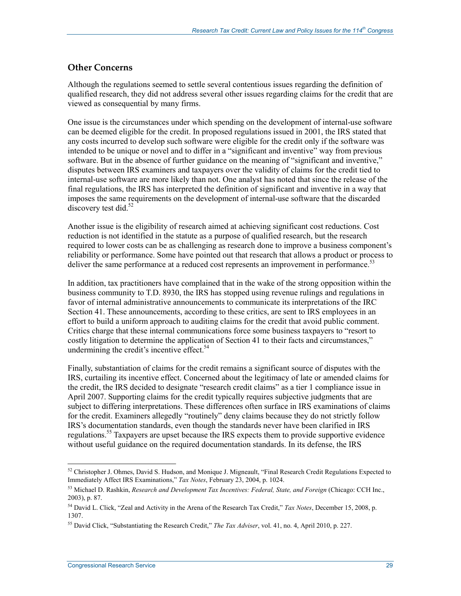### **Other Concerns**

Although the regulations seemed to settle several contentious issues regarding the definition of qualified research, they did not address several other issues regarding claims for the credit that are viewed as consequential by many firms.

One issue is the circumstances under which spending on the development of internal-use software can be deemed eligible for the credit. In proposed regulations issued in 2001, the IRS stated that any costs incurred to develop such software were eligible for the credit only if the software was intended to be unique or novel and to differ in a "significant and inventive" way from previous software. But in the absence of further guidance on the meaning of "significant and inventive," disputes between IRS examiners and taxpayers over the validity of claims for the credit tied to internal-use software are more likely than not. One analyst has noted that since the release of the final regulations, the IRS has interpreted the definition of significant and inventive in a way that imposes the same requirements on the development of internal-use software that the discarded discovery test did.<sup>52</sup>

Another issue is the eligibility of research aimed at achieving significant cost reductions. Cost reduction is not identified in the statute as a purpose of qualified research, but the research required to lower costs can be as challenging as research done to improve a business component's reliability or performance. Some have pointed out that research that allows a product or process to deliver the same performance at a reduced cost represents an improvement in performance.<sup>53</sup>

In addition, tax practitioners have complained that in the wake of the strong opposition within the business community to T.D. 8930, the IRS has stopped using revenue rulings and regulations in favor of internal administrative announcements to communicate its interpretations of the IRC Section 41. These announcements, according to these critics, are sent to IRS employees in an effort to build a uniform approach to auditing claims for the credit that avoid public comment. Critics charge that these internal communications force some business taxpayers to "resort to costly litigation to determine the application of Section 41 to their facts and circumstances," undermining the credit's incentive effect. $54$ 

Finally, substantiation of claims for the credit remains a significant source of disputes with the IRS, curtailing its incentive effect. Concerned about the legitimacy of late or amended claims for the credit, the IRS decided to designate "research credit claims" as a tier 1 compliance issue in April 2007. Supporting claims for the credit typically requires subjective judgments that are subject to differing interpretations. These differences often surface in IRS examinations of claims for the credit. Examiners allegedly "routinely" deny claims because they do not strictly follow IRS's documentation standards, even though the standards never have been clarified in IRS regulations.<sup>55</sup> Taxpayers are upset because the IRS expects them to provide supportive evidence without useful guidance on the required documentation standards. In its defense, the IRS

 $52$  Christopher J. Ohmes, David S. Hudson, and Monique J. Migneault, "Final Research Credit Regulations Expected to Immediately Affect IRS Examinations," *Tax Notes*, February 23, 2004, p. 1024.

<sup>53</sup> Michael D. Rashkin, *Research and Development Tax Incentives: Federal, State, and Foreign* (Chicago: CCH Inc., 2003), p. 87.

<sup>54</sup> David L. Click, "Zeal and Activity in the Arena of the Research Tax Credit," *Tax Notes*, December 15, 2008, p. 1307.

<sup>55</sup> David Click, "Substantiating the Research Credit," *The Tax Adviser*, vol. 41, no. 4, April 2010, p. 227.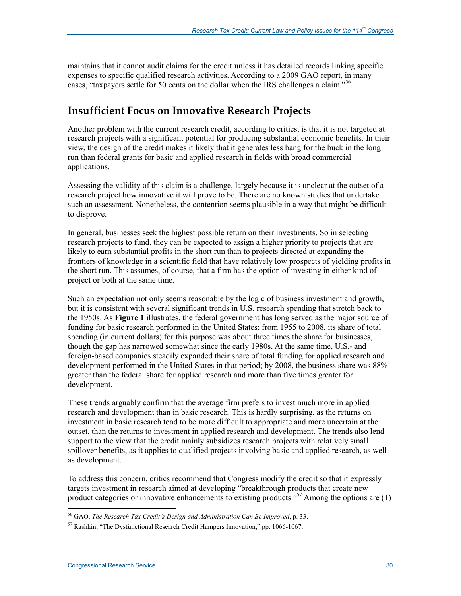maintains that it cannot audit claims for the credit unless it has detailed records linking specific expenses to specific qualified research activities. According to a 2009 GAO report, in many cases, "taxpayers settle for 50 cents on the dollar when the IRS challenges a claim."<sup>56</sup>

## **Insufficient Focus on Innovative Research Projects**

Another problem with the current research credit, according to critics, is that it is not targeted at research projects with a significant potential for producing substantial economic benefits. In their view, the design of the credit makes it likely that it generates less bang for the buck in the long run than federal grants for basic and applied research in fields with broad commercial applications.

Assessing the validity of this claim is a challenge, largely because it is unclear at the outset of a research project how innovative it will prove to be. There are no known studies that undertake such an assessment. Nonetheless, the contention seems plausible in a way that might be difficult to disprove.

In general, businesses seek the highest possible return on their investments. So in selecting research projects to fund, they can be expected to assign a higher priority to projects that are likely to earn substantial profits in the short run than to projects directed at expanding the frontiers of knowledge in a scientific field that have relatively low prospects of yielding profits in the short run. This assumes, of course, that a firm has the option of investing in either kind of project or both at the same time.

Such an expectation not only seems reasonable by the logic of business investment and growth, but it is consistent with several significant trends in U.S. research spending that stretch back to the 1950s. As **Figure 1** illustrates, the federal government has long served as the major source of funding for basic research performed in the United States; from 1955 to 2008, its share of total spending (in current dollars) for this purpose was about three times the share for businesses, though the gap has narrowed somewhat since the early 1980s. At the same time, U.S.- and foreign-based companies steadily expanded their share of total funding for applied research and development performed in the United States in that period; by 2008, the business share was 88% greater than the federal share for applied research and more than five times greater for development.

These trends arguably confirm that the average firm prefers to invest much more in applied research and development than in basic research. This is hardly surprising, as the returns on investment in basic research tend to be more difficult to appropriate and more uncertain at the outset, than the returns to investment in applied research and development. The trends also lend support to the view that the credit mainly subsidizes research projects with relatively small spillover benefits, as it applies to qualified projects involving basic and applied research, as well as development.

To address this concern, critics recommend that Congress modify the credit so that it expressly targets investment in research aimed at developing "breakthrough products that create new product categories or innovative enhancements to existing products."<sup>57</sup> Among the options are (1)

<u>.</u>

<sup>56</sup> GAO, *The Research Tax Credit's Design and Administration Can Be Improved*, p. 33.

<sup>57</sup> Rashkin, "The Dysfunctional Research Credit Hampers Innovation," pp. 1066-1067.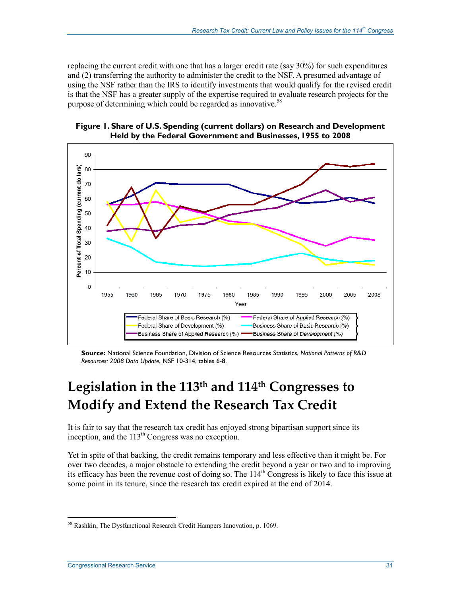replacing the current credit with one that has a larger credit rate (say 30%) for such expenditures and (2) transferring the authority to administer the credit to the NSF. A presumed advantage of using the NSF rather than the IRS to identify investments that would qualify for the revised credit is that the NSF has a greater supply of the expertise required to evaluate research projects for the purpose of determining which could be regarded as innovative.<sup>58</sup>





**Source:** National Science Foundation, Division of Science Resources Statistics, *National Patterns of R&D Resources: 2008 Data Update*, NSF 10-314, tables 6-8.

# **Legislation in the 113th and 114th Congresses to Modify and Extend the Research Tax Credit**

It is fair to say that the research tax credit has enjoyed strong bipartisan support since its inception, and the  $113<sup>th</sup>$  Congress was no exception.

Yet in spite of that backing, the credit remains temporary and less effective than it might be. For over two decades, a major obstacle to extending the credit beyond a year or two and to improving its efficacy has been the revenue cost of doing so. The 114<sup>th</sup> Congress is likely to face this issue at some point in its tenure, since the research tax credit expired at the end of 2014.

<u>.</u>

<sup>58</sup> Rashkin, The Dysfunctional Research Credit Hampers Innovation, p. 1069.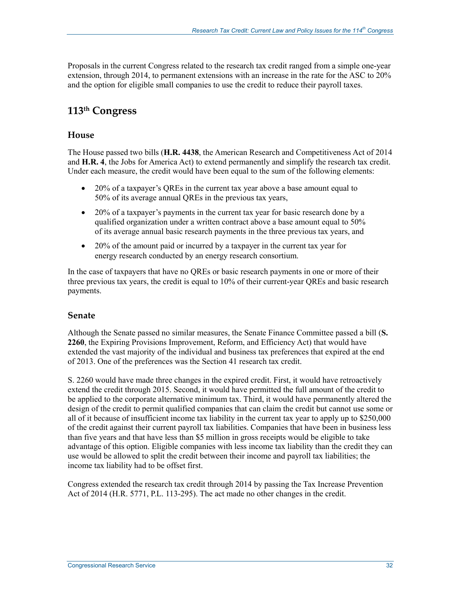Proposals in the current Congress related to the research tax credit ranged from a simple one-year extension, through 2014, to permanent extensions with an increase in the rate for the ASC to 20% and the option for eligible small companies to use the credit to reduce their payroll taxes.

## **113th Congress**

### **House**

The House passed two bills (**H.R. 4438**, the American Research and Competitiveness Act of 2014 and **H.R. 4**, the Jobs for America Act) to extend permanently and simplify the research tax credit. Under each measure, the credit would have been equal to the sum of the following elements:

- 20% of a taxpayer's QREs in the current tax year above a base amount equal to 50% of its average annual QREs in the previous tax years,
- 20% of a taxpayer's payments in the current tax year for basic research done by a qualified organization under a written contract above a base amount equal to 50% of its average annual basic research payments in the three previous tax years, and
- 20% of the amount paid or incurred by a taxpayer in the current tax year for energy research conducted by an energy research consortium.

In the case of taxpayers that have no QREs or basic research payments in one or more of their three previous tax years, the credit is equal to 10% of their current-year QREs and basic research payments.

### **Senate**

Although the Senate passed no similar measures, the Senate Finance Committee passed a bill (**S. 2260**, the Expiring Provisions Improvement, Reform, and Efficiency Act) that would have extended the vast majority of the individual and business tax preferences that expired at the end of 2013. One of the preferences was the Section 41 research tax credit.

S. 2260 would have made three changes in the expired credit. First, it would have retroactively extend the credit through 2015. Second, it would have permitted the full amount of the credit to be applied to the corporate alternative minimum tax. Third, it would have permanently altered the design of the credit to permit qualified companies that can claim the credit but cannot use some or all of it because of insufficient income tax liability in the current tax year to apply up to \$250,000 of the credit against their current payroll tax liabilities. Companies that have been in business less than five years and that have less than \$5 million in gross receipts would be eligible to take advantage of this option. Eligible companies with less income tax liability than the credit they can use would be allowed to split the credit between their income and payroll tax liabilities; the income tax liability had to be offset first.

Congress extended the research tax credit through 2014 by passing the Tax Increase Prevention Act of 2014 (H.R. 5771, P.L. 113-295). The act made no other changes in the credit.